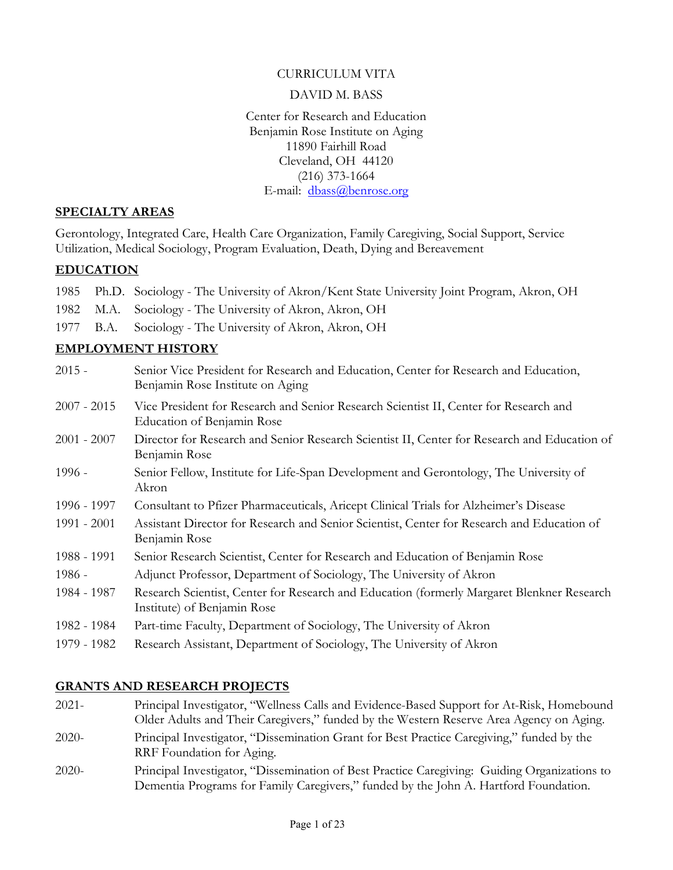#### CURRICULUM VITA

#### DAVID M. BASS

Center for Research and Education Benjamin Rose Institute on Aging 11890 Fairhill Road Cleveland, OH 44120 (216) 373-1664 E-mail: dbass@benrose.org

#### SPECIALTY AREAS

Gerontology, Integrated Care, Health Care Organization, Family Caregiving, Social Support, Service Utilization, Medical Sociology, Program Evaluation, Death, Dying and Bereavement

### EDUCATION

|  | 1985 Ph.D. Sociology - The University of Akron/Kent State University Joint Program, Akron, OH |
|--|-----------------------------------------------------------------------------------------------|
|  | 1982 M.A. Sociology - The University of Akron, Akron, OH                                      |
|  | 1977 B.A. Sociology - The University of Akron, Akron, OH                                      |

## EMPLOYMENT HISTORY

| $2015 -$      | Senior Vice President for Research and Education, Center for Research and Education,<br>Benjamin Rose Institute on Aging  |
|---------------|---------------------------------------------------------------------------------------------------------------------------|
| $2007 - 2015$ | Vice President for Research and Senior Research Scientist II, Center for Research and<br>Education of Benjamin Rose       |
| $2001 - 2007$ | Director for Research and Senior Research Scientist II, Center for Research and Education of<br>Benjamin Rose             |
| $1996 -$      | Senior Fellow, Institute for Life-Span Development and Gerontology, The University of<br>Akron                            |
| 1996 - 1997   | Consultant to Pfizer Pharmaceuticals, Aricept Clinical Trials for Alzheimer's Disease                                     |
| 1991 - 2001   | Assistant Director for Research and Senior Scientist, Center for Research and Education of<br>Benjamin Rose               |
| 1988 - 1991   | Senior Research Scientist, Center for Research and Education of Benjamin Rose                                             |
| $1986 -$      | Adjunct Professor, Department of Sociology, The University of Akron                                                       |
| 1984 - 1987   | Research Scientist, Center for Research and Education (formerly Margaret Blenkner Research<br>Institute) of Benjamin Rose |
| 1982 - 1984   | Part-time Faculty, Department of Sociology, The University of Akron                                                       |
| 1979 - 1982   | Research Assistant, Department of Sociology, The University of Akron                                                      |

## GRANTS AND RESEARCH PROJECTS

2021- Principal Investigator, "Wellness Calls and Evidence-Based Support for At-Risk, Homebound Older Adults and Their Caregivers," funded by the Western Reserve Area Agency on Aging. 2020- Principal Investigator, "Dissemination Grant for Best Practice Caregiving," funded by the RRF Foundation for Aging. 2020- Principal Investigator, "Dissemination of Best Practice Caregiving: Guiding Organizations to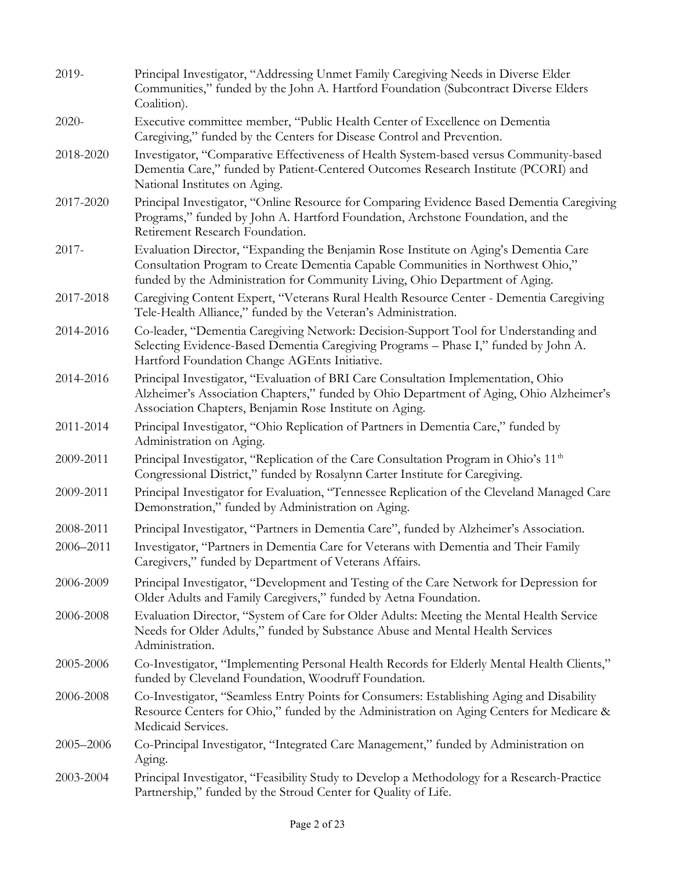| 2019-     | Principal Investigator, "Addressing Unmet Family Caregiving Needs in Diverse Elder<br>Communities," funded by the John A. Hartford Foundation (Subcontract Diverse Elders<br>Coalition).                                                                |
|-----------|---------------------------------------------------------------------------------------------------------------------------------------------------------------------------------------------------------------------------------------------------------|
| 2020-     | Executive committee member, "Public Health Center of Excellence on Dementia<br>Caregiving," funded by the Centers for Disease Control and Prevention.                                                                                                   |
| 2018-2020 | Investigator, "Comparative Effectiveness of Health System-based versus Community-based<br>Dementia Care," funded by Patient-Centered Outcomes Research Institute (PCORI) and<br>National Institutes on Aging.                                           |
| 2017-2020 | Principal Investigator, "Online Resource for Comparing Evidence Based Dementia Caregiving<br>Programs," funded by John A. Hartford Foundation, Archstone Foundation, and the<br>Retirement Research Foundation.                                         |
| $2017 -$  | Evaluation Director, "Expanding the Benjamin Rose Institute on Aging's Dementia Care<br>Consultation Program to Create Dementia Capable Communities in Northwest Ohio,"<br>funded by the Administration for Community Living, Ohio Department of Aging. |
| 2017-2018 | Caregiving Content Expert, "Veterans Rural Health Resource Center - Dementia Caregiving<br>Tele-Health Alliance," funded by the Veteran's Administration.                                                                                               |
| 2014-2016 | Co-leader, "Dementia Caregiving Network: Decision-Support Tool for Understanding and<br>Selecting Evidence-Based Dementia Caregiving Programs - Phase I," funded by John A.<br>Hartford Foundation Change AGEnts Initiative.                            |
| 2014-2016 | Principal Investigator, "Evaluation of BRI Care Consultation Implementation, Ohio<br>Alzheimer's Association Chapters," funded by Ohio Department of Aging, Ohio Alzheimer's<br>Association Chapters, Benjamin Rose Institute on Aging.                 |
| 2011-2014 | Principal Investigator, "Ohio Replication of Partners in Dementia Care," funded by<br>Administration on Aging.                                                                                                                                          |
| 2009-2011 | Principal Investigator, "Replication of the Care Consultation Program in Ohio's 11 <sup>th</sup><br>Congressional District," funded by Rosalynn Carter Institute for Caregiving.                                                                        |
| 2009-2011 | Principal Investigator for Evaluation, "Tennessee Replication of the Cleveland Managed Care<br>Demonstration," funded by Administration on Aging.                                                                                                       |
| 2008-2011 | Principal Investigator, "Partners in Dementia Care", funded by Alzheimer's Association.                                                                                                                                                                 |
| 2006-2011 | Investigator, "Partners in Dementia Care for Veterans with Dementia and Their Family<br>Caregivers," funded by Department of Veterans Affairs.                                                                                                          |
| 2006-2009 | Principal Investigator, "Development and Testing of the Care Network for Depression for<br>Older Adults and Family Caregivers," funded by Aetna Foundation.                                                                                             |
| 2006-2008 | Evaluation Director, "System of Care for Older Adults: Meeting the Mental Health Service<br>Needs for Older Adults," funded by Substance Abuse and Mental Health Services<br>Administration.                                                            |
| 2005-2006 | Co-Investigator, "Implementing Personal Health Records for Elderly Mental Health Clients,"<br>funded by Cleveland Foundation, Woodruff Foundation.                                                                                                      |
| 2006-2008 | Co-Investigator, "Seamless Entry Points for Consumers: Establishing Aging and Disability<br>Resource Centers for Ohio," funded by the Administration on Aging Centers for Medicare &<br>Medicaid Services.                                              |
| 2005-2006 | Co-Principal Investigator, "Integrated Care Management," funded by Administration on<br>Aging.                                                                                                                                                          |
| 2003-2004 | Principal Investigator, "Feasibility Study to Develop a Methodology for a Research-Practice<br>Partnership," funded by the Stroud Center for Quality of Life.                                                                                           |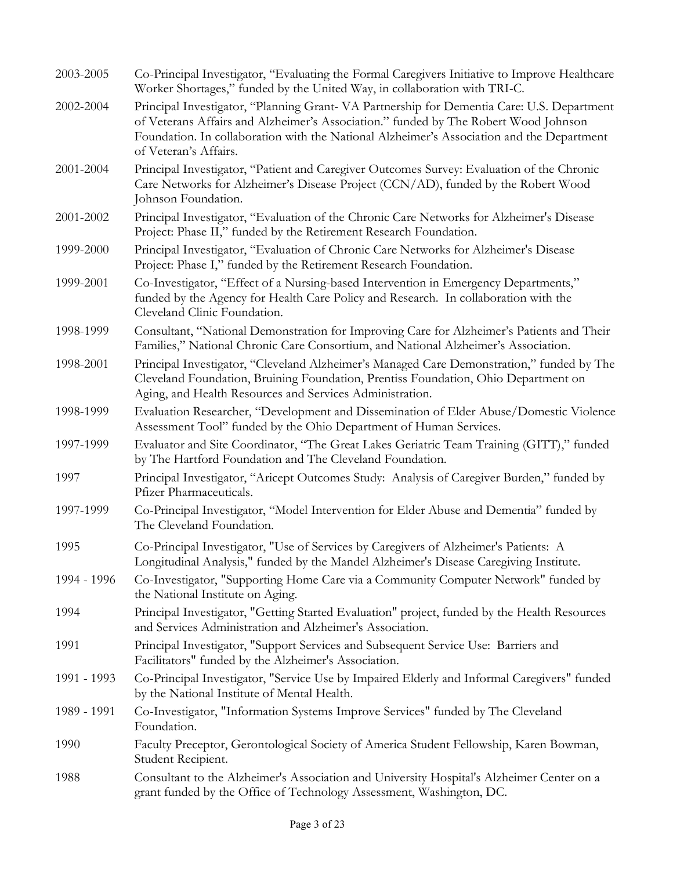| 2003-2005   | Co-Principal Investigator, "Evaluating the Formal Caregivers Initiative to Improve Healthcare<br>Worker Shortages," funded by the United Way, in collaboration with TRI-C.                                                                                                                             |
|-------------|--------------------------------------------------------------------------------------------------------------------------------------------------------------------------------------------------------------------------------------------------------------------------------------------------------|
| 2002-2004   | Principal Investigator, "Planning Grant-VA Partnership for Dementia Care: U.S. Department<br>of Veterans Affairs and Alzheimer's Association." funded by The Robert Wood Johnson<br>Foundation. In collaboration with the National Alzheimer's Association and the Department<br>of Veteran's Affairs. |
| 2001-2004   | Principal Investigator, "Patient and Caregiver Outcomes Survey: Evaluation of the Chronic<br>Care Networks for Alzheimer's Disease Project (CCN/AD), funded by the Robert Wood<br>Johnson Foundation.                                                                                                  |
| 2001-2002   | Principal Investigator, "Evaluation of the Chronic Care Networks for Alzheimer's Disease<br>Project: Phase II," funded by the Retirement Research Foundation.                                                                                                                                          |
| 1999-2000   | Principal Investigator, "Evaluation of Chronic Care Networks for Alzheimer's Disease<br>Project: Phase I," funded by the Retirement Research Foundation.                                                                                                                                               |
| 1999-2001   | Co-Investigator, "Effect of a Nursing-based Intervention in Emergency Departments,"<br>funded by the Agency for Health Care Policy and Research. In collaboration with the<br>Cleveland Clinic Foundation.                                                                                             |
| 1998-1999   | Consultant, "National Demonstration for Improving Care for Alzheimer's Patients and Their<br>Families," National Chronic Care Consortium, and National Alzheimer's Association.                                                                                                                        |
| 1998-2001   | Principal Investigator, "Cleveland Alzheimer's Managed Care Demonstration," funded by The<br>Cleveland Foundation, Bruining Foundation, Prentiss Foundation, Ohio Department on<br>Aging, and Health Resources and Services Administration.                                                            |
| 1998-1999   | Evaluation Researcher, "Development and Dissemination of Elder Abuse/Domestic Violence<br>Assessment Tool" funded by the Ohio Department of Human Services.                                                                                                                                            |
| 1997-1999   | Evaluator and Site Coordinator, "The Great Lakes Geriatric Team Training (GITT)," funded<br>by The Hartford Foundation and The Cleveland Foundation.                                                                                                                                                   |
| 1997        | Principal Investigator, "Aricept Outcomes Study: Analysis of Caregiver Burden," funded by<br>Pfizer Pharmaceuticals.                                                                                                                                                                                   |
| 1997-1999   | Co-Principal Investigator, "Model Intervention for Elder Abuse and Dementia" funded by<br>The Cleveland Foundation.                                                                                                                                                                                    |
| 1995        | Co-Principal Investigator, "Use of Services by Caregivers of Alzheimer's Patients: A<br>Longitudinal Analysis," funded by the Mandel Alzheimer's Disease Caregiving Institute.                                                                                                                         |
| 1994 - 1996 | Co-Investigator, "Supporting Home Care via a Community Computer Network" funded by<br>the National Institute on Aging.                                                                                                                                                                                 |
| 1994        | Principal Investigator, "Getting Started Evaluation" project, funded by the Health Resources<br>and Services Administration and Alzheimer's Association.                                                                                                                                               |
| 1991        | Principal Investigator, "Support Services and Subsequent Service Use: Barriers and<br>Facilitators" funded by the Alzheimer's Association.                                                                                                                                                             |
| 1991 - 1993 | Co-Principal Investigator, "Service Use by Impaired Elderly and Informal Caregivers" funded<br>by the National Institute of Mental Health.                                                                                                                                                             |
| 1989 - 1991 | Co-Investigator, "Information Systems Improve Services" funded by The Cleveland<br>Foundation.                                                                                                                                                                                                         |
| 1990        | Faculty Preceptor, Gerontological Society of America Student Fellowship, Karen Bowman,<br>Student Recipient.                                                                                                                                                                                           |
| 1988        | Consultant to the Alzheimer's Association and University Hospital's Alzheimer Center on a<br>grant funded by the Office of Technology Assessment, Washington, DC.                                                                                                                                      |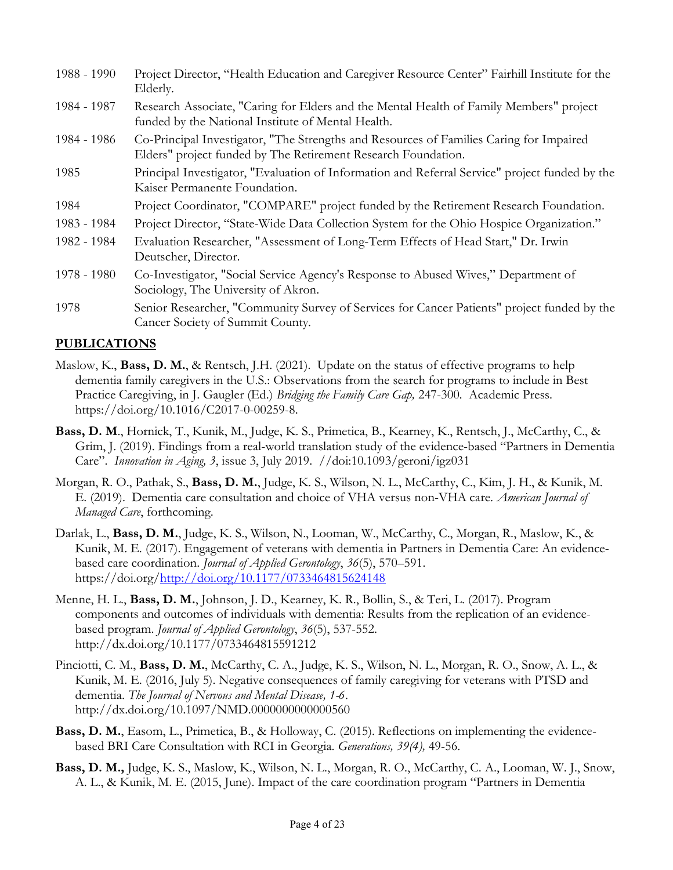| 1988 - 1990 | Project Director, "Health Education and Caregiver Resource Center" Fairhill Institute for the<br>Elderly.                                                |
|-------------|----------------------------------------------------------------------------------------------------------------------------------------------------------|
| 1984 - 1987 | Research Associate, "Caring for Elders and the Mental Health of Family Members" project<br>funded by the National Institute of Mental Health.            |
| 1984 - 1986 | Co-Principal Investigator, "The Strengths and Resources of Families Caring for Impaired<br>Elders" project funded by The Retirement Research Foundation. |
| 1985        | Principal Investigator, "Evaluation of Information and Referral Service" project funded by the<br>Kaiser Permanente Foundation.                          |
| 1984        | Project Coordinator, "COMPARE" project funded by the Retirement Research Foundation.                                                                     |
| 1983 - 1984 | Project Director, "State-Wide Data Collection System for the Ohio Hospice Organization."                                                                 |
| 1982 - 1984 | Evaluation Researcher, "Assessment of Long-Term Effects of Head Start," Dr. Irwin<br>Deutscher, Director.                                                |
| 1978 - 1980 | Co-Investigator, "Social Service Agency's Response to Abused Wives," Department of<br>Sociology, The University of Akron.                                |
| 1978        | Senior Researcher, "Community Survey of Services for Cancer Patients" project funded by the<br>Cancer Society of Summit County.                          |

## **PUBLICATIONS**

- Maslow, K., Bass, D. M., & Rentsch, J.H. (2021). Update on the status of effective programs to help dementia family caregivers in the U.S.: Observations from the search for programs to include in Best Practice Caregiving, in J. Gaugler (Ed.) Bridging the Family Care Gap, 247-300. Academic Press. https://doi.org/10.1016/C2017-0-00259-8.
- Bass, D. M., Hornick, T., Kunik, M., Judge, K. S., Primetica, B., Kearney, K., Rentsch, J., McCarthy, C., & Grim, J. (2019). Findings from a real-world translation study of the evidence-based "Partners in Dementia Care". Innovation in Aging, 3, issue 3, July 2019. //doi:10.1093/geroni/igz031
- Morgan, R. O., Pathak, S., Bass, D. M., Judge, K. S., Wilson, N. L., McCarthy, C., Kim, J. H., & Kunik, M. E. (2019). Dementia care consultation and choice of VHA versus non-VHA care. American Journal of Managed Care, forthcoming.
- Darlak, L., Bass, D. M., Judge, K. S., Wilson, N., Looman, W., McCarthy, C., Morgan, R., Maslow, K., & Kunik, M. E. (2017). Engagement of veterans with dementia in Partners in Dementia Care: An evidencebased care coordination. Journal of Applied Gerontology, 36(5), 570–591. https://doi.org/http://doi.org/10.1177/0733464815624148
- Menne, H. L., Bass, D. M., Johnson, J. D., Kearney, K. R., Bollin, S., & Teri, L. (2017). Program components and outcomes of individuals with dementia: Results from the replication of an evidencebased program. Journal of Applied Gerontology, 36(5), 537-552. http://dx.doi.org/10.1177/0733464815591212
- Pinciotti, C. M., Bass, D. M., McCarthy, C. A., Judge, K. S., Wilson, N. L., Morgan, R. O., Snow, A. L., & Kunik, M. E. (2016, July 5). Negative consequences of family caregiving for veterans with PTSD and dementia. The Journal of Nervous and Mental Disease, 1-6. http://dx.doi.org/10.1097/NMD.0000000000000560
- Bass, D. M., Easom, L., Primetica, B., & Holloway, C. (2015). Reflections on implementing the evidencebased BRI Care Consultation with RCI in Georgia. Generations, 39(4), 49-56.
- Bass, D. M., Judge, K. S., Maslow, K., Wilson, N. L., Morgan, R. O., McCarthy, C. A., Looman, W. J., Snow, A. L., & Kunik, M. E. (2015, June). Impact of the care coordination program "Partners in Dementia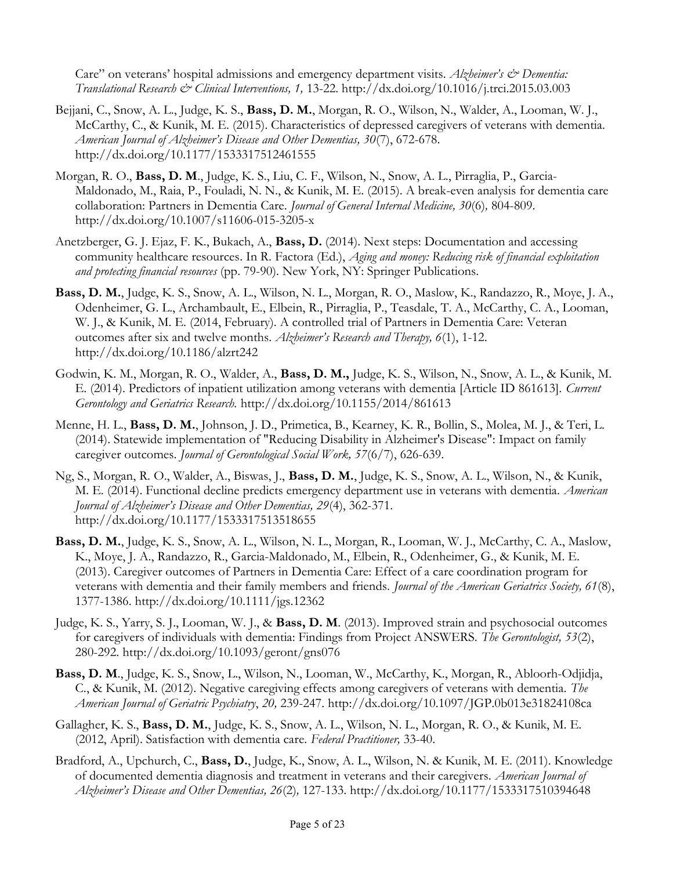Care" on veterans' hospital admissions and emergency department visits. Alzheimer's & Dementia: Translational Research & Clinical Interventions, 1, 13-22. http://dx.doi.org/10.1016/j.trci.2015.03.003

- Bejjani, C., Snow, A. L., Judge, K. S., Bass, D. M., Morgan, R. O., Wilson, N., Walder, A., Looman, W. J., McCarthy, C., & Kunik, M. E. (2015). Characteristics of depressed caregivers of veterans with dementia. American Journal of Alzheimer's Disease and Other Dementias, 30(7), 672-678. http://dx.doi.org/10.1177/1533317512461555
- Morgan, R. O., Bass, D. M., Judge, K. S., Liu, C. F., Wilson, N., Snow, A. L., Pirraglia, P., Garcia-Maldonado, M., Raia, P., Fouladi, N. N., & Kunik, M. E. (2015). A break-even analysis for dementia care collaboration: Partners in Dementia Care. Journal of General Internal Medicine, 30(6), 804-809. http://dx.doi.org/10.1007/s11606-015-3205-x
- Anetzberger, G. J. Ejaz, F. K., Bukach, A., Bass, D. (2014). Next steps: Documentation and accessing community healthcare resources. In R. Factora (Ed.), *Aging and money: Reducing risk of financial exploitation* and protecting financial resources (pp. 79-90). New York, NY: Springer Publications.
- Bass, D. M., Judge, K. S., Snow, A. L., Wilson, N. L., Morgan, R. O., Maslow, K., Randazzo, R., Moye, J. A., Odenheimer, G. L., Archambault, E., Elbein, R., Pirraglia, P., Teasdale, T. A., McCarthy, C. A., Looman, W. J., & Kunik, M. E. (2014, February). A controlled trial of Partners in Dementia Care: Veteran outcomes after six and twelve months. Alzheimer's Research and Therapy, 6(1), 1-12. http://dx.doi.org/10.1186/alzrt242
- Godwin, K. M., Morgan, R. O., Walder, A., Bass, D. M., Judge, K. S., Wilson, N., Snow, A. L., & Kunik, M. E. (2014). Predictors of inpatient utilization among veterans with dementia [Article ID 861613]. Current Gerontology and Geriatrics Research. http://dx.doi.org/10.1155/2014/861613
- Menne, H. L., Bass, D. M., Johnson, J. D., Primetica, B., Kearney, K. R., Bollin, S., Molea, M. J., & Teri, L. (2014). Statewide implementation of "Reducing Disability in Alzheimer's Disease": Impact on family caregiver outcomes. Journal of Gerontological Social Work, 57(6/7), 626-639.
- Ng, S., Morgan, R. O., Walder, A., Biswas, J., Bass, D. M., Judge, K. S., Snow, A. L., Wilson, N., & Kunik, M. E. (2014). Functional decline predicts emergency department use in veterans with dementia. American Journal of Alzheimer's Disease and Other Dementias, 29(4), 362-371. http://dx.doi.org/10.1177/1533317513518655
- Bass, D. M., Judge, K. S., Snow, A. L., Wilson, N. L., Morgan, R., Looman, W. J., McCarthy, C. A., Maslow, K., Moye, J. A., Randazzo, R., Garcia-Maldonado, M., Elbein, R., Odenheimer, G., & Kunik, M. E. (2013). Caregiver outcomes of Partners in Dementia Care: Effect of a care coordination program for veterans with dementia and their family members and friends. Journal of the American Geriatrics Society, 61(8), 1377-1386. http://dx.doi.org/10.1111/jgs.12362
- Judge, K. S., Yarry, S. J., Looman, W. J., & Bass, D. M. (2013). Improved strain and psychosocial outcomes for caregivers of individuals with dementia: Findings from Project ANSWERS. The Gerontologist, 53(2), 280-292. http://dx.doi.org/10.1093/geront/gns076
- Bass, D. M., Judge, K. S., Snow, L., Wilson, N., Looman, W., McCarthy, K., Morgan, R., Abloorh-Odjidja, C., & Kunik, M. (2012). Negative caregiving effects among caregivers of veterans with dementia. The American Journal of Geriatric Psychiatry, 20, 239-247. http://dx.doi.org/10.1097/JGP.0b013e31824108ca
- Gallagher, K. S., Bass, D. M., Judge, K. S., Snow, A. L., Wilson, N. L., Morgan, R. O., & Kunik, M. E. (2012, April). Satisfaction with dementia care. Federal Practitioner, 33-40.
- Bradford, A., Upchurch, C., Bass, D., Judge, K., Snow, A. L., Wilson, N. & Kunik, M. E. (2011). Knowledge of documented dementia diagnosis and treatment in veterans and their caregivers. American Journal of Alzheimer's Disease and Other Dementias, 26(2), 127-133. http://dx.doi.org/10.1177/1533317510394648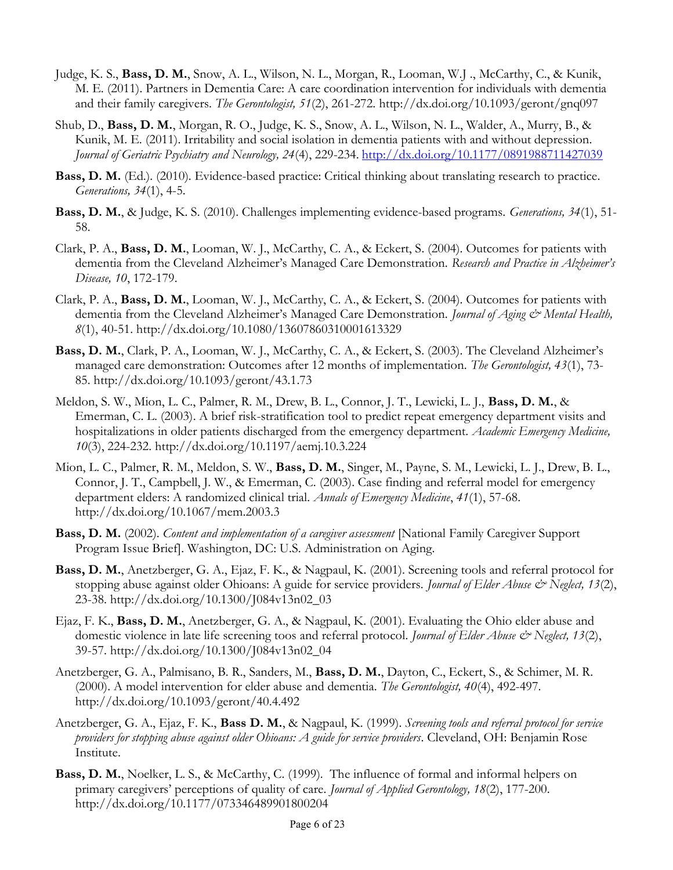- Judge, K. S., Bass, D. M., Snow, A. L., Wilson, N. L., Morgan, R., Looman, W.J ., McCarthy, C., & Kunik, M. E. (2011). Partners in Dementia Care: A care coordination intervention for individuals with dementia and their family caregivers. The Gerontologist, 51(2), 261-272. http://dx.doi.org/10.1093/geront/gnq097
- Shub, D., Bass, D. M., Morgan, R. O., Judge, K. S., Snow, A. L., Wilson, N. L., Walder, A., Murry, B., & Kunik, M. E. (2011). Irritability and social isolation in dementia patients with and without depression. Journal of Geriatric Psychiatry and Neurology, 24(4), 229-234. http://dx.doi.org/10.1177/0891988711427039
- Bass, D. M. (Ed.). (2010). Evidence-based practice: Critical thinking about translating research to practice. Generations, 34(1), 4-5.
- Bass, D. M., & Judge, K. S. (2010). Challenges implementing evidence-based programs. Generations, 34(1), 51- 58.
- Clark, P. A., Bass, D. M., Looman, W. J., McCarthy, C. A., & Eckert, S. (2004). Outcomes for patients with dementia from the Cleveland Alzheimer's Managed Care Demonstration. Research and Practice in Alzheimer's Disease, 10, 172-179.
- Clark, P. A., Bass, D. M., Looman, W. J., McCarthy, C. A., & Eckert, S. (2004). Outcomes for patients with dementia from the Cleveland Alzheimer's Managed Care Demonstration. Journal of Aging & Mental Health, 8(1), 40-51. http://dx.doi.org/10.1080/13607860310001613329
- Bass, D. M., Clark, P. A., Looman, W. J., McCarthy, C. A., & Eckert, S. (2003). The Cleveland Alzheimer's managed care demonstration: Outcomes after 12 months of implementation. The Gerontologist, 43(1), 73- 85. http://dx.doi.org/10.1093/geront/43.1.73
- Meldon, S. W., Mion, L. C., Palmer, R. M., Drew, B. L., Connor, J. T., Lewicki, L. J., Bass, D. M., & Emerman, C. L. (2003). A brief risk-stratification tool to predict repeat emergency department visits and hospitalizations in older patients discharged from the emergency department. Academic Emergency Medicine, 10(3), 224-232. http://dx.doi.org/10.1197/aemj.10.3.224
- Mion, L. C., Palmer, R. M., Meldon, S. W., Bass, D. M., Singer, M., Payne, S. M., Lewicki, L. J., Drew, B. L., Connor, J. T., Campbell, J. W., & Emerman, C. (2003). Case finding and referral model for emergency department elders: A randomized clinical trial. Annals of Emergency Medicine, 41(1), 57-68. http://dx.doi.org/10.1067/mem.2003.3
- Bass, D. M. (2002). Content and implementation of a caregiver assessment [National Family Caregiver Support Program Issue Brief]. Washington, DC: U.S. Administration on Aging.
- Bass, D. M., Anetzberger, G. A., Ejaz, F. K., & Nagpaul, K. (2001). Screening tools and referral protocol for stopping abuse against older Ohioans: A guide for service providers. *Journal of Elder Abuse*  $\mathcal{O}$  *Neglect, 13(2)*, 23-38. http://dx.doi.org/10.1300/J084v13n02\_03
- Ejaz, F. K., Bass, D. M., Anetzberger, G. A., & Nagpaul, K. (2001). Evaluating the Ohio elder abuse and domestic violence in late life screening toos and referral protocol. *Journal of Elder Abuse*  $\dot{\mathcal{C}}$  Neglect, 13(2), 39-57. http://dx.doi.org/10.1300/J084v13n02\_04
- Anetzberger, G. A., Palmisano, B. R., Sanders, M., Bass, D. M., Dayton, C., Eckert, S., & Schimer, M. R. (2000). A model intervention for elder abuse and dementia. The Gerontologist, 40(4), 492-497. http://dx.doi.org/10.1093/geront/40.4.492
- Anetzberger, G. A., Ejaz, F. K., Bass D. M., & Nagpaul, K. (1999). Screening tools and referral protocol for service providers for stopping abuse against older Ohioans: A guide for service providers. Cleveland, OH: Benjamin Rose Institute.
- Bass, D. M., Noelker, L. S., & McCarthy, C. (1999). The influence of formal and informal helpers on primary caregivers' perceptions of quality of care. *Journal of Applied Gerontology*, 18(2), 177-200. http://dx.doi.org/10.1177/073346489901800204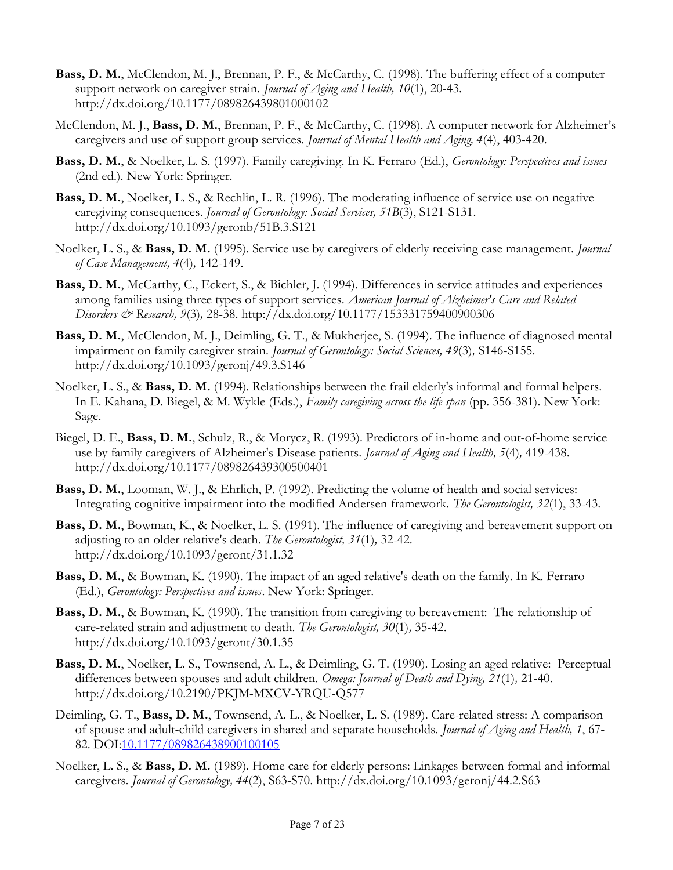- Bass, D. M., McClendon, M. J., Brennan, P. F., & McCarthy, C. (1998). The buffering effect of a computer support network on caregiver strain. Journal of Aging and Health, 10(1), 20-43. http://dx.doi.org/10.1177/089826439801000102
- McClendon, M. J., Bass, D. M., Brennan, P. F., & McCarthy, C. (1998). A computer network for Alzheimer's caregivers and use of support group services. Journal of Mental Health and Aging, 4(4), 403-420.
- Bass, D. M., & Noelker, L. S. (1997). Family caregiving. In K. Ferraro (Ed.), Gerontology: Perspectives and issues (2nd ed.). New York: Springer.
- Bass, D. M., Noelker, L. S., & Rechlin, L. R. (1996). The moderating influence of service use on negative caregiving consequences. Journal of Gerontology: Social Services, 51B(3), S121-S131. http://dx.doi.org/10.1093/geronb/51B.3.S121
- Noelker, L. S., & Bass, D. M. (1995). Service use by caregivers of elderly receiving case management. *Journal* of Case Management, 4(4), 142-149.
- Bass, D. M., McCarthy, C., Eckert, S., & Bichler, J. (1994). Differences in service attitudes and experiences among families using three types of support services. American Journal of Alzheimer's Care and Related Disorders & Research, 9(3), 28-38. http://dx.doi.org/10.1177/153331759400900306
- Bass, D. M., McClendon, M. J., Deimling, G. T., & Mukherjee, S. (1994). The influence of diagnosed mental impairment on family caregiver strain. Journal of Gerontology: Social Sciences, 49(3), S146-S155. http://dx.doi.org/10.1093/geronj/49.3.S146
- Noelker, L. S., & Bass, D. M. (1994). Relationships between the frail elderly's informal and formal helpers. In E. Kahana, D. Biegel, & M. Wykle (Eds.), Family caregiving across the life span (pp. 356-381). New York: Sage.
- Biegel, D. E., Bass, D. M., Schulz, R., & Morycz, R. (1993). Predictors of in-home and out-of-home service use by family caregivers of Alzheimer's Disease patients. Journal of Aging and Health, 5(4), 419-438. http://dx.doi.org/10.1177/089826439300500401
- Bass, D. M., Looman, W. J., & Ehrlich, P. (1992). Predicting the volume of health and social services: Integrating cognitive impairment into the modified Andersen framework. The Gerontologist, 32(1), 33-43.
- Bass, D. M., Bowman, K., & Noelker, L. S. (1991). The influence of caregiving and bereavement support on adjusting to an older relative's death. The Gerontologist, 31(1), 32-42. http://dx.doi.org/10.1093/geront/31.1.32
- Bass, D. M., & Bowman, K. (1990). The impact of an aged relative's death on the family. In K. Ferraro (Ed.), Gerontology: Perspectives and issues. New York: Springer.
- Bass, D. M., & Bowman, K. (1990). The transition from caregiving to bereavement: The relationship of care-related strain and adjustment to death. The Gerontologist, 30(1), 35-42. http://dx.doi.org/10.1093/geront/30.1.35
- Bass, D. M., Noelker, L. S., Townsend, A. L., & Deimling, G. T. (1990). Losing an aged relative: Perceptual differences between spouses and adult children. Omega: Journal of Death and Dying, 21(1), 21-40. http://dx.doi.org/10.2190/PKJM-MXCV-YRQU-Q577
- Deimling, G. T., Bass, D. M., Townsend, A. L., & Noelker, L. S. (1989). Care-related stress: A comparison of spouse and adult-child caregivers in shared and separate households. Journal of Aging and Health, 1, 67- 82. DOI:10.1177/089826438900100105
- Noelker, L. S., & Bass, D. M. (1989). Home care for elderly persons: Linkages between formal and informal caregivers. Journal of Gerontology, 44(2), S63-S70. http://dx.doi.org/10.1093/geronj/44.2.S63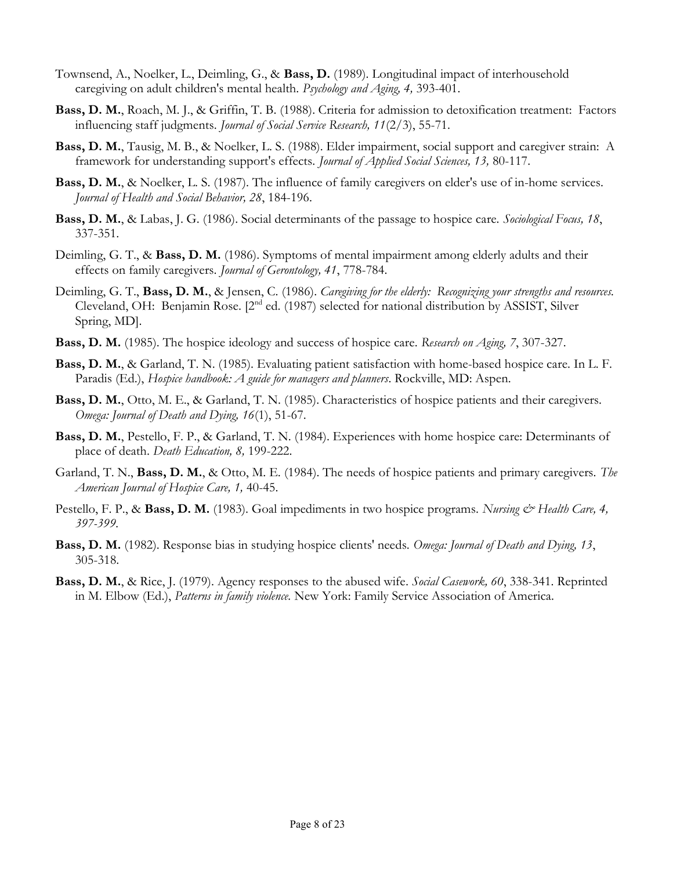- Townsend, A., Noelker, L., Deimling, G., & Bass, D. (1989). Longitudinal impact of interhousehold caregiving on adult children's mental health. Psychology and Aging, 4, 393-401.
- Bass, D. M., Roach, M. J., & Griffin, T. B. (1988). Criteria for admission to detoxification treatment: Factors influencing staff judgments. Journal of Social Service Research, 11(2/3), 55-71.
- Bass, D. M., Tausig, M. B., & Noelker, L. S. (1988). Elder impairment, social support and caregiver strain: A framework for understanding support's effects. *Journal of Applied Social Sciences*, 13, 80-117.
- Bass, D. M., & Noelker, L. S. (1987). The influence of family caregivers on elder's use of in-home services. Journal of Health and Social Behavior, 28, 184-196.
- Bass, D. M., & Labas, J. G. (1986). Social determinants of the passage to hospice care. Sociological Focus, 18, 337-351.
- Deimling, G. T., & Bass, D. M. (1986). Symptoms of mental impairment among elderly adults and their effects on family caregivers. Journal of Gerontology, 41, 778-784.
- Deimling, G. T., Bass, D. M., & Jensen, C. (1986). Caregiving for the elderly: Recognizing your strengths and resources. Cleveland, OH: Benjamin Rose. [2nd ed. (1987) selected for national distribution by ASSIST, Silver Spring, MD].
- **Bass, D. M.** (1985). The hospice ideology and success of hospice care. Research on Aging, 7, 307-327.
- Bass, D. M., & Garland, T. N. (1985). Evaluating patient satisfaction with home-based hospice care. In L. F. Paradis (Ed.), *Hospice handbook: A guide for managers and planners*. Rockville, MD: Aspen.
- Bass, D. M., Otto, M. E., & Garland, T. N. (1985). Characteristics of hospice patients and their caregivers. Omega: Journal of Death and Dying, 16(1), 51-67.
- Bass, D. M., Pestello, F. P., & Garland, T. N. (1984). Experiences with home hospice care: Determinants of place of death. Death Education, 8, 199-222.
- Garland, T. N., Bass, D. M., & Otto, M. E. (1984). The needs of hospice patients and primary caregivers. The American Journal of Hospice Care, 1, 40-45.
- Pestello, F. P., & Bass, D. M. (1983). Goal impediments in two hospice programs. Nursing & Health Care, 4, 397-399.
- Bass, D. M. (1982). Response bias in studying hospice clients' needs. Omega: Journal of Death and Dying, 13, 305-318.
- Bass, D. M., & Rice, J. (1979). Agency responses to the abused wife. Social Casework, 60, 338-341. Reprinted in M. Elbow (Ed.), Patterns in family violence. New York: Family Service Association of America.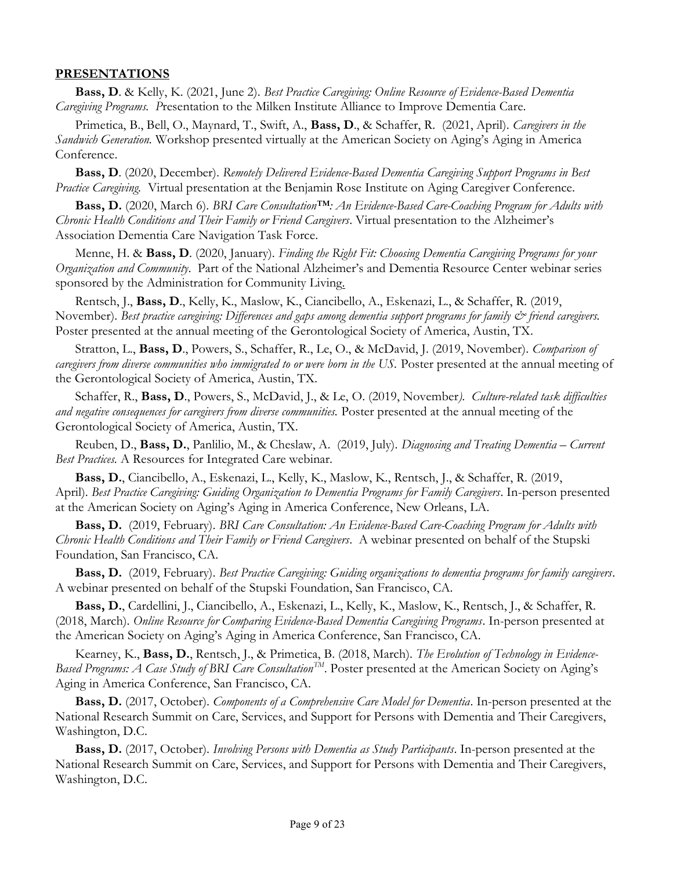#### PRESENTATIONS

Bass, D. & Kelly, K. (2021, June 2). Best Practice Caregiving: Online Resource of Evidence-Based Dementia Caregiving Programs. Presentation to the Milken Institute Alliance to Improve Dementia Care.

Primetica, B., Bell, O., Maynard, T., Swift, A., Bass, D., & Schaffer, R. (2021, April). Caregivers in the Sandwich Generation. Workshop presented virtually at the American Society on Aging's Aging in America Conference.

Bass, D. (2020, December). Remotely Delivered Evidence-Based Dementia Caregiving Support Programs in Best Practice Caregiving. Virtual presentation at the Benjamin Rose Institute on Aging Caregiver Conference.

Bass, D. (2020, March 6). BRI Care Consultation™: An Evidence-Based Care-Coaching Program for Adults with Chronic Health Conditions and Their Family or Friend Caregivers. Virtual presentation to the Alzheimer's Association Dementia Care Navigation Task Force.

Menne, H. & Bass, D. (2020, January). Finding the Right Fit: Choosing Dementia Caregiving Programs for your Organization and Community. Part of the National Alzheimer's and Dementia Resource Center webinar series sponsored by the Administration for Community Living.

Rentsch, J., Bass, D., Kelly, K., Maslow, K., Ciancibello, A., Eskenazi, L., & Schaffer, R. (2019, November). Best practice caregiving: Differences and gaps among dementia support programs for family  $\mathcal O$  friend caregivers. Poster presented at the annual meeting of the Gerontological Society of America, Austin, TX.

Stratton, L., Bass, D., Powers, S., Schaffer, R., Le, O., & McDavid, J. (2019, November). Comparison of caregivers from diverse communities who immigrated to or were born in the US. Poster presented at the annual meeting of the Gerontological Society of America, Austin, TX.

Schaffer, R., Bass, D., Powers, S., McDavid, J., & Le, O. (2019, November). Culture-related task difficulties and negative consequences for caregivers from diverse communities. Poster presented at the annual meeting of the Gerontological Society of America, Austin, TX.

Reuben, D., Bass, D., Panlilio, M., & Cheslaw, A. (2019, July). Diagnosing and Treating Dementia – Current Best Practices. A Resources for Integrated Care webinar.

Bass, D., Ciancibello, A., Eskenazi, L., Kelly, K., Maslow, K., Rentsch, J., & Schaffer, R. (2019, April). Best Practice Caregiving: Guiding Organization to Dementia Programs for Family Caregivers. In-person presented at the American Society on Aging's Aging in America Conference, New Orleans, LA.

Bass, D. (2019, February). BRI Care Consultation: An Evidence-Based Care-Coaching Program for Adults with Chronic Health Conditions and Their Family or Friend Caregivers. A webinar presented on behalf of the Stupski Foundation, San Francisco, CA.

Bass, D. (2019, February). Best Practice Caregiving: Guiding organizations to dementia programs for family caregivers. A webinar presented on behalf of the Stupski Foundation, San Francisco, CA.

Bass, D., Cardellini, J., Ciancibello, A., Eskenazi, L., Kelly, K., Maslow, K., Rentsch, J., & Schaffer, R. (2018, March). Online Resource for Comparing Evidence-Based Dementia Caregiving Programs. In-person presented at the American Society on Aging's Aging in America Conference, San Francisco, CA.

Kearney, K., Bass, D., Rentsch, J., & Primetica, B. (2018, March). The Evolution of Technology in Evidence-Based Programs: A Case Study of BRI Care Consultation<sup>TM</sup>. Poster presented at the American Society on Aging's Aging in America Conference, San Francisco, CA.

Bass, D. (2017, October). Components of a Comprehensive Care Model for Dementia. In-person presented at the National Research Summit on Care, Services, and Support for Persons with Dementia and Their Caregivers, Washington, D.C.

Bass, D. (2017, October). Involving Persons with Dementia as Study Participants. In-person presented at the National Research Summit on Care, Services, and Support for Persons with Dementia and Their Caregivers, Washington, D.C.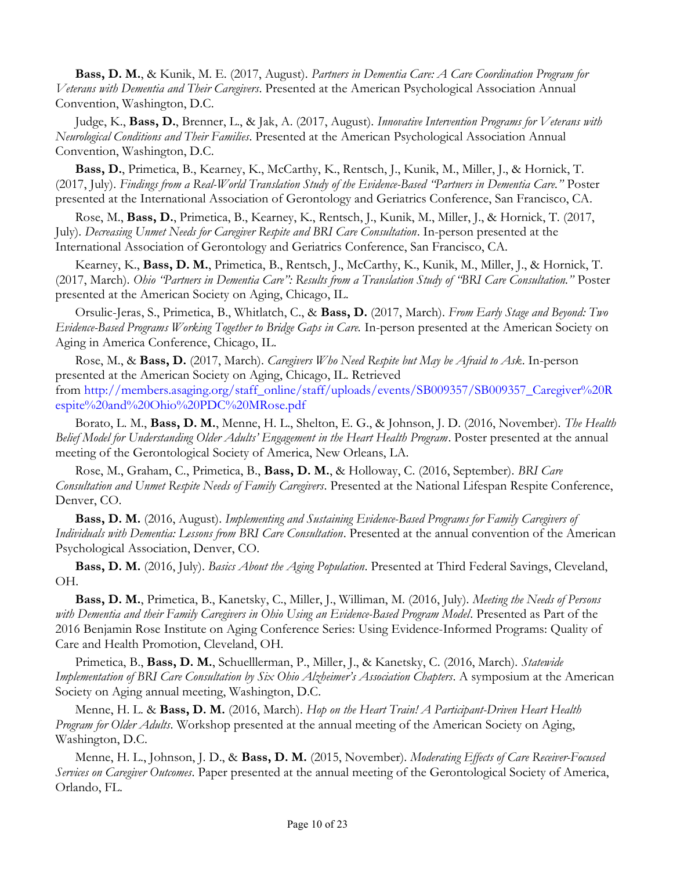Bass, D. M., & Kunik, M. E. (2017, August). Partners in Dementia Care: A Care Coordination Program for Veterans with Dementia and Their Caregivers. Presented at the American Psychological Association Annual Convention, Washington, D.C.

Judge, K., Bass, D., Brenner, L., & Jak, A. (2017, August). Innovative Intervention Programs for Veterans with Neurological Conditions and Their Families. Presented at the American Psychological Association Annual Convention, Washington, D.C.

Bass, D., Primetica, B., Kearney, K., McCarthy, K., Rentsch, J., Kunik, M., Miller, J., & Hornick, T. (2017, July). Findings from a Real-World Translation Study of the Evidence-Based "Partners in Dementia Care." Poster presented at the International Association of Gerontology and Geriatrics Conference, San Francisco, CA.

Rose, M., Bass, D., Primetica, B., Kearney, K., Rentsch, J., Kunik, M., Miller, J., & Hornick, T. (2017, July). Decreasing Unmet Needs for Caregiver Respite and BRI Care Consultation. In-person presented at the International Association of Gerontology and Geriatrics Conference, San Francisco, CA.

Kearney, K., Bass, D. M., Primetica, B., Rentsch, J., McCarthy, K., Kunik, M., Miller, J., & Hornick, T. (2017, March). Ohio "Partners in Dementia Care": Results from a Translation Study of "BRI Care Consultation." Poster presented at the American Society on Aging, Chicago, IL.

Orsulic-Jeras, S., Primetica, B., Whitlatch, C., & Bass, D. (2017, March). From Early Stage and Beyond: Two Evidence-Based Programs Working Together to Bridge Gaps in Care. In-person presented at the American Society on Aging in America Conference, Chicago, IL.

Rose, M., & Bass, D. (2017, March). Caregivers Who Need Respite but May be Afraid to Ask. In-person presented at the American Society on Aging, Chicago, IL. Retrieved from http://members.asaging.org/staff\_online/staff/uploads/events/SB009357/SB009357\_Caregiver%20R espite%20and%20Ohio%20PDC%20MRose.pdf

Borato, L. M., Bass, D. M., Menne, H. L., Shelton, E. G., & Johnson, J. D. (2016, November). The Health Belief Model for Understanding Older Adults' Engagement in the Heart Health Program. Poster presented at the annual meeting of the Gerontological Society of America, New Orleans, LA.

Rose, M., Graham, C., Primetica, B., Bass, D. M., & Holloway, C. (2016, September). BRI Care Consultation and Unmet Respite Needs of Family Caregivers. Presented at the National Lifespan Respite Conference, Denver, CO.

Bass, D. M. (2016, August). Implementing and Sustaining Evidence-Based Programs for Family Caregivers of Individuals with Dementia: Lessons from BRI Care Consultation. Presented at the annual convention of the American Psychological Association, Denver, CO.

Bass, D. M. (2016, July). Basics About the Aging Population. Presented at Third Federal Savings, Cleveland, OH.

Bass, D. M., Primetica, B., Kanetsky, C., Miller, J., Williman, M. (2016, July). Meeting the Needs of Persons with Dementia and their Family Caregivers in Ohio Using an Evidence-Based Program Model. Presented as Part of the 2016 Benjamin Rose Institute on Aging Conference Series: Using Evidence-Informed Programs: Quality of Care and Health Promotion, Cleveland, OH.

Primetica, B., Bass, D. M., Schuelllerman, P., Miller, J., & Kanetsky, C. (2016, March). Statewide Implementation of BRI Care Consultation by Six Ohio Alzheimer's Association Chapters. A symposium at the American Society on Aging annual meeting, Washington, D.C.

Menne, H. L. & Bass, D. M. (2016, March). Hop on the Heart Train! A Participant-Driven Heart Health Program for Older Adults. Workshop presented at the annual meeting of the American Society on Aging, Washington, D.C.

Menne, H. L., Johnson, J. D., & Bass, D. M. (2015, November). Moderating Effects of Care Receiver-Focused Services on Caregiver Outcomes. Paper presented at the annual meeting of the Gerontological Society of America, Orlando, FL.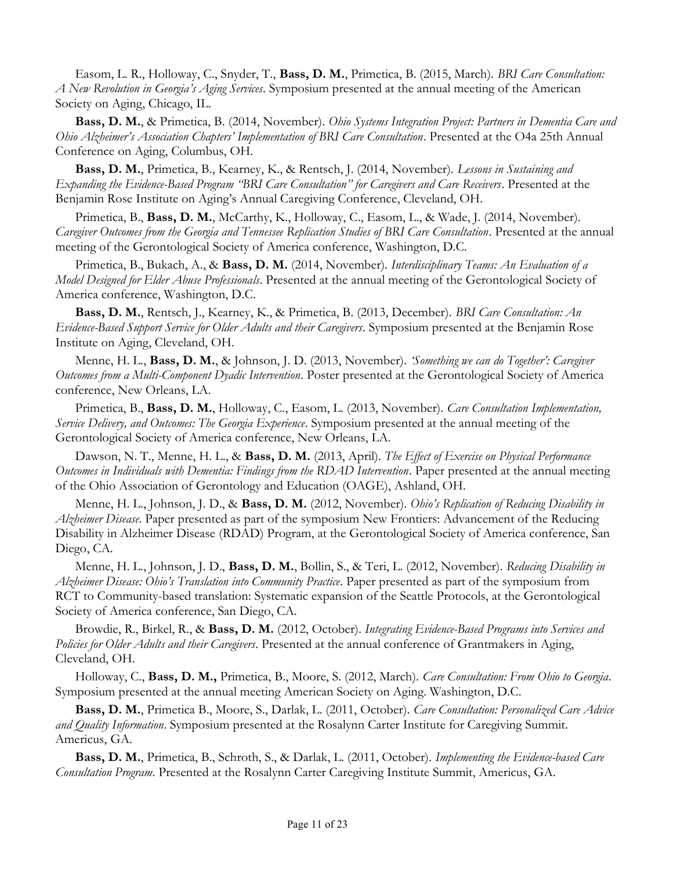Easom, L. R., Holloway, C., Snyder, T., Bass, D. M., Primetica, B. (2015, March). BRI Care Consultation: A New Revolution in Georgia's Aging Services. Symposium presented at the annual meeting of the American Society on Aging, Chicago, IL.

Bass, D. M., & Primetica, B. (2014, November). Ohio Systems Integration Project: Partners in Dementia Care and Ohio Alzheimer's Association Chapters' Implementation of BRI Care Consultation. Presented at the O4a 25th Annual Conference on Aging, Columbus, OH.

Bass, D. M., Primetica, B., Kearney, K., & Rentsch, J. (2014, November). Lessons in Sustaining and Expanding the Evidence-Based Program "BRI Care Consultation" for Caregivers and Care Receivers. Presented at the Benjamin Rose Institute on Aging's Annual Caregiving Conference, Cleveland, OH.

Primetica, B., Bass, D. M., McCarthy, K., Holloway, C., Easom, L., & Wade, J. (2014, November). Caregiver Outcomes from the Georgia and Tennessee Replication Studies of BRI Care Consultation. Presented at the annual meeting of the Gerontological Society of America conference, Washington, D.C.

Primetica, B., Bukach, A., & Bass, D. M. (2014, November). Interdisciplinary Teams: An Evaluation of a Model Designed for Elder Abuse Professionals. Presented at the annual meeting of the Gerontological Society of America conference, Washington, D.C.

Bass, D. M., Rentsch, J., Kearney, K., & Primetica, B. (2013, December). BRI Care Consultation: An Evidence-Based Support Service for Older Adults and their Caregivers. Symposium presented at the Benjamin Rose Institute on Aging, Cleveland, OH.

Menne, H. L., Bass, D. M., & Johnson, J. D. (2013, November). 'Something we can do Together': Caregiver Outcomes from a Multi-Component Dyadic Intervention. Poster presented at the Gerontological Society of America conference, New Orleans, LA.

Primetica, B., Bass, D. M., Holloway, C., Easom, L. (2013, November). Care Consultation Implementation, Service Delivery, and Outcomes: The Georgia Experience. Symposium presented at the annual meeting of the Gerontological Society of America conference, New Orleans, LA.

Dawson, N. T., Menne, H. L., & Bass, D. M. (2013, April). The Effect of Exercise on Physical Performance Outcomes in Individuals with Dementia: Findings from the RDAD Intervention. Paper presented at the annual meeting of the Ohio Association of Gerontology and Education (OAGE), Ashland, OH.

Menne, H. L., Johnson, J. D., & Bass, D. M. (2012, November). Ohio's Replication of Reducing Disability in Alzheimer Disease. Paper presented as part of the symposium New Frontiers: Advancement of the Reducing Disability in Alzheimer Disease (RDAD) Program, at the Gerontological Society of America conference, San Diego, CA.

Menne, H. L., Johnson, J. D., Bass, D. M., Bollin, S., & Teri, L. (2012, November). Reducing Disability in Alzheimer Disease: Ohio's Translation into Community Practice. Paper presented as part of the symposium from RCT to Community-based translation: Systematic expansion of the Seattle Protocols, at the Gerontological Society of America conference, San Diego, CA.

Browdie, R., Birkel, R., & Bass, D. M. (2012, October). Integrating Evidence-Based Programs into Services and Policies for Older Adults and their Caregivers. Presented at the annual conference of Grantmakers in Aging, Cleveland, OH.

Holloway, C., Bass, D. M., Primetica, B., Moore, S. (2012, March). Care Consultation: From Ohio to Georgia. Symposium presented at the annual meeting American Society on Aging. Washington, D.C.

Bass, D. M., Primetica B., Moore, S., Darlak, L. (2011, October). Care Consultation: Personalized Care Advice and Quality Information. Symposium presented at the Rosalynn Carter Institute for Caregiving Summit. Americus, GA.

Bass, D. M., Primetica, B., Schroth, S., & Darlak, L. (2011, October). Implementing the Evidence-based Care Consultation Program. Presented at the Rosalynn Carter Caregiving Institute Summit, Americus, GA.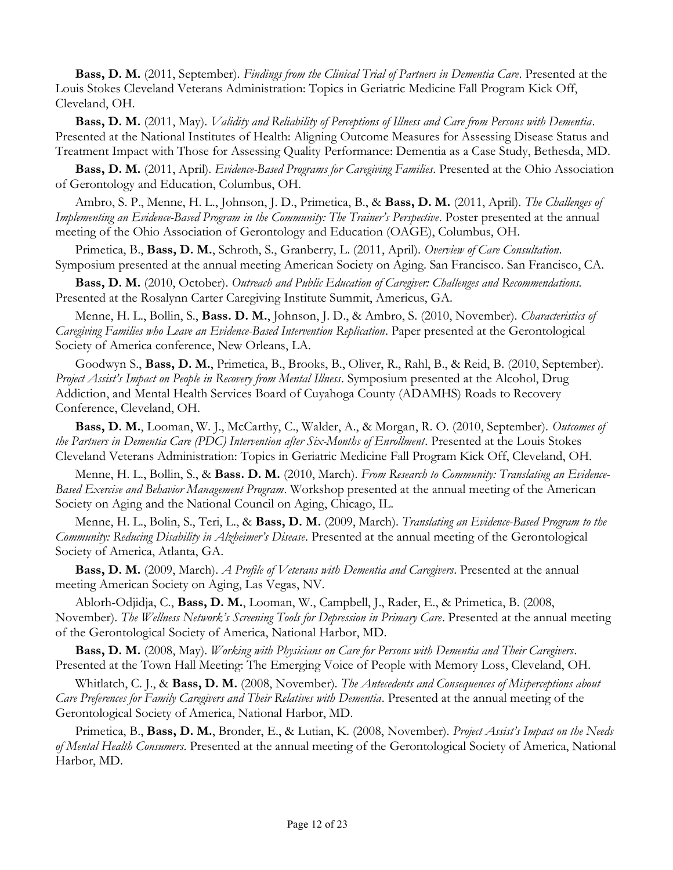Bass, D. M. (2011, September). Findings from the Clinical Trial of Partners in Dementia Care. Presented at the Louis Stokes Cleveland Veterans Administration: Topics in Geriatric Medicine Fall Program Kick Off, Cleveland, OH.

Bass, D. M. (2011, May). *Validity and Reliability of Perceptions of Illness and Care from Persons with Dementia*. Presented at the National Institutes of Health: Aligning Outcome Measures for Assessing Disease Status and Treatment Impact with Those for Assessing Quality Performance: Dementia as a Case Study, Bethesda, MD.

Bass, D. M. (2011, April). Evidence-Based Programs for Caregiving Families. Presented at the Ohio Association of Gerontology and Education, Columbus, OH.

Ambro, S. P., Menne, H. L., Johnson, J. D., Primetica, B., & Bass, D. M. (2011, April). The Challenges of Implementing an Evidence-Based Program in the Community: The Trainer's Perspective. Poster presented at the annual meeting of the Ohio Association of Gerontology and Education (OAGE), Columbus, OH.

Primetica, B., Bass, D. M., Schroth, S., Granberry, L. (2011, April). Overview of Care Consultation. Symposium presented at the annual meeting American Society on Aging. San Francisco. San Francisco, CA.

Bass, D. M. (2010, October). Outreach and Public Education of Caregiver: Challenges and Recommendations. Presented at the Rosalynn Carter Caregiving Institute Summit, Americus, GA.

Menne, H. L., Bollin, S., Bass. D. M., Johnson, J. D., & Ambro, S. (2010, November). Characteristics of Caregiving Families who Leave an Evidence-Based Intervention Replication. Paper presented at the Gerontological Society of America conference, New Orleans, LA.

Goodwyn S., Bass, D. M., Primetica, B., Brooks, B., Oliver, R., Rahl, B., & Reid, B. (2010, September). Project Assist's Impact on People in Recovery from Mental Illness. Symposium presented at the Alcohol, Drug Addiction, and Mental Health Services Board of Cuyahoga County (ADAMHS) Roads to Recovery Conference, Cleveland, OH.

Bass, D. M., Looman, W. J., McCarthy, C., Walder, A., & Morgan, R. O. (2010, September). Outcomes of the Partners in Dementia Care (PDC) Intervention after Six-Months of Enrollment. Presented at the Louis Stokes Cleveland Veterans Administration: Topics in Geriatric Medicine Fall Program Kick Off, Cleveland, OH.

Menne, H. L., Bollin, S., & Bass. D. M. (2010, March). From Research to Community: Translating an Evidence-Based Exercise and Behavior Management Program. Workshop presented at the annual meeting of the American Society on Aging and the National Council on Aging, Chicago, IL.

Menne, H. L., Bolin, S., Teri, L., & Bass, D. M. (2009, March). Translating an Evidence-Based Program to the Community: Reducing Disability in Alzheimer's Disease. Presented at the annual meeting of the Gerontological Society of America, Atlanta, GA.

Bass, D. M. (2009, March). A Profile of Veterans with Dementia and Caregivers. Presented at the annual meeting American Society on Aging, Las Vegas, NV.

Ablorh-Odjidja, C., Bass, D. M., Looman, W., Campbell, J., Rader, E., & Primetica, B. (2008, November). The Wellness Network's Screening Tools for Depression in Primary Care. Presented at the annual meeting of the Gerontological Society of America, National Harbor, MD.

Bass, D. M. (2008, May). Working with Physicians on Care for Persons with Dementia and Their Caregivers. Presented at the Town Hall Meeting: The Emerging Voice of People with Memory Loss, Cleveland, OH.

Whitlatch, C. J., & Bass, D. M. (2008, November). The Antecedents and Consequences of Misperceptions about Care Preferences for Family Caregivers and Their Relatives with Dementia. Presented at the annual meeting of the Gerontological Society of America, National Harbor, MD.

Primetica, B., Bass, D. M., Bronder, E., & Lutian, K. (2008, November). Project Assist's Impact on the Needs of Mental Health Consumers. Presented at the annual meeting of the Gerontological Society of America, National Harbor, MD.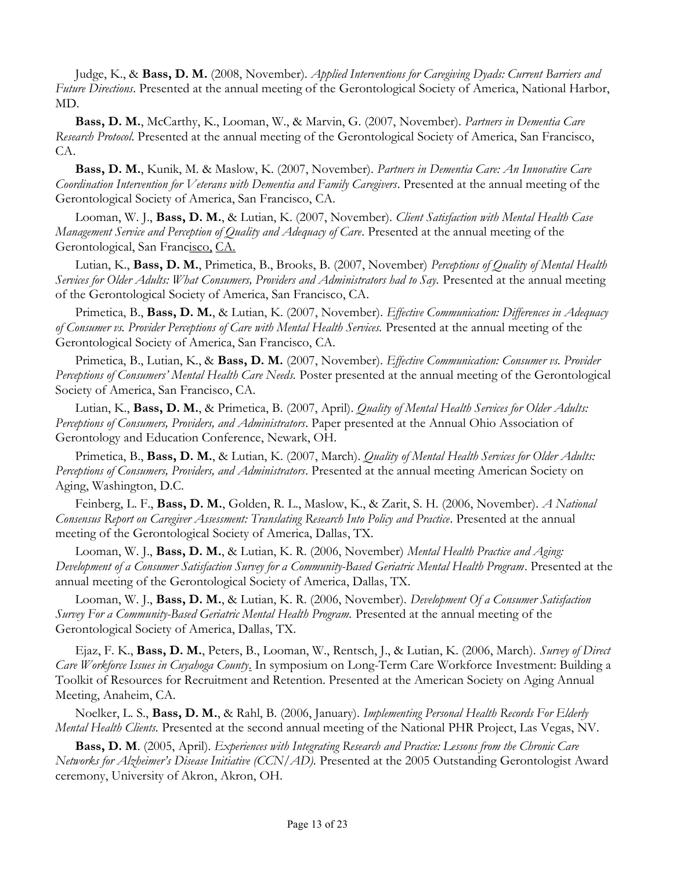Judge, K., & Bass, D. M. (2008, November). Applied Interventions for Caregiving Dyads: Current Barriers and Future Directions. Presented at the annual meeting of the Gerontological Society of America, National Harbor, MD.

Bass, D. M., McCarthy, K., Looman, W., & Marvin, G. (2007, November). Partners in Dementia Care Research Protocol. Presented at the annual meeting of the Gerontological Society of America, San Francisco, CA.

Bass, D. M., Kunik, M. & Maslow, K. (2007, November). Partners in Dementia Care: An Innovative Care Coordination Intervention for Veterans with Dementia and Family Caregivers. Presented at the annual meeting of the Gerontological Society of America, San Francisco, CA.

Looman, W. J., Bass, D. M., & Lutian, K. (2007, November). Client Satisfaction with Mental Health Case Management Service and Perception of Quality and Adequacy of Care. Presented at the annual meeting of the Gerontological, San Francisco, CA.

Lutian, K., Bass, D. M., Primetica, B., Brooks, B. (2007, November) Perceptions of Quality of Mental Health Services for Older Adults: What Consumers, Providers and Administrators had to Say. Presented at the annual meeting of the Gerontological Society of America, San Francisco, CA.

Primetica, B., Bass, D. M., & Lutian, K. (2007, November). Effective Communication: Differences in Adequacy of Consumer vs. Provider Perceptions of Care with Mental Health Services. Presented at the annual meeting of the Gerontological Society of America, San Francisco, CA.

Primetica, B., Lutian, K., & Bass, D. M. (2007, November). Effective Communication: Consumer vs. Provider Perceptions of Consumers' Mental Health Care Needs. Poster presented at the annual meeting of the Gerontological Society of America, San Francisco, CA.

Lutian, K., Bass, D. M., & Primetica, B. (2007, April). *Quality of Mental Health Services for Older Adults:* Perceptions of Consumers, Providers, and Administrators. Paper presented at the Annual Ohio Association of Gerontology and Education Conference, Newark, OH.

Primetica, B., Bass, D. M., & Lutian, K. (2007, March). Quality of Mental Health Services for Older Adults: Perceptions of Consumers, Providers, and Administrators. Presented at the annual meeting American Society on Aging, Washington, D.C.

Feinberg, L. F., Bass, D. M., Golden, R. L., Maslow, K., & Zarit, S. H. (2006, November). A National Consensus Report on Caregiver Assessment: Translating Research Into Policy and Practice. Presented at the annual meeting of the Gerontological Society of America, Dallas, TX.

Looman, W. J., Bass, D. M., & Lutian, K. R. (2006, November) Mental Health Practice and Aging: Development of a Consumer Satisfaction Survey for a Community-Based Geriatric Mental Health Program. Presented at the annual meeting of the Gerontological Society of America, Dallas, TX.

Looman, W. J., Bass, D. M., & Lutian, K. R. (2006, November). Development Of a Consumer Satisfaction Survey For a Community-Based Geriatric Mental Health Program. Presented at the annual meeting of the Gerontological Society of America, Dallas, TX.

Ejaz, F. K., Bass, D. M., Peters, B., Looman, W., Rentsch, J., & Lutian, K. (2006, March). Survey of Direct Care Workforce Issues in Cuyahoga County. In symposium on Long-Term Care Workforce Investment: Building a Toolkit of Resources for Recruitment and Retention. Presented at the American Society on Aging Annual Meeting, Anaheim, CA.

Noelker, L. S., Bass, D. M., & Rahl, B. (2006, January). Implementing Personal Health Records For Elderly Mental Health Clients. Presented at the second annual meeting of the National PHR Project, Las Vegas, NV.

Bass, D. M. (2005, April). Experiences with Integrating Research and Practice: Lessons from the Chronic Care Networks for Alzheimer's Disease Initiative (CCN/AD). Presented at the 2005 Outstanding Gerontologist Award ceremony, University of Akron, Akron, OH.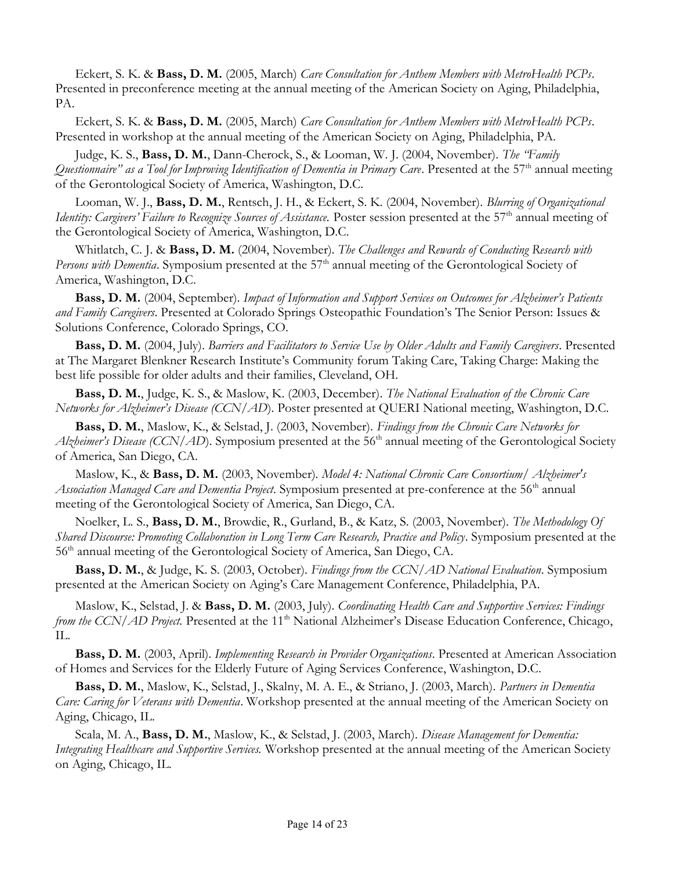Eckert, S. K. & Bass, D. M. (2005, March) Care Consultation for Anthem Members with MetroHealth PCPs. Presented in preconference meeting at the annual meeting of the American Society on Aging, Philadelphia, PA.

Eckert, S. K. & Bass, D. M. (2005, March) Care Consultation for Anthem Members with MetroHealth PCPs. Presented in workshop at the annual meeting of the American Society on Aging, Philadelphia, PA.

Judge, K. S., Bass, D. M., Dann-Cherock, S., & Looman, W. J. (2004, November). The 'Family Questionnaire" as a Tool for Improving Identification of Dementia in Primary Care. Presented at the  $57<sup>th</sup>$  annual meeting of the Gerontological Society of America, Washington, D.C.

Looman, W. J., Bass, D. M., Rentsch, J. H., & Eckert, S. K. (2004, November). Blurring of Organizational Identity: Cargivers' Failure to Recognize Sources of Assistance. Poster session presented at the 57<sup>th</sup> annual meeting of the Gerontological Society of America, Washington, D.C.

Whitlatch, C. J. & Bass, D. M. (2004, November). The Challenges and Rewards of Conducting Research with *Persons with Dementia.* Symposium presented at the  $57<sup>th</sup>$  annual meeting of the Gerontological Society of America, Washington, D.C.

Bass, D. M. (2004, September). Impact of Information and Support Services on Outcomes for Alzheimer's Patients and Family Caregivers. Presented at Colorado Springs Osteopathic Foundation's The Senior Person: Issues & Solutions Conference, Colorado Springs, CO.

Bass, D. M. (2004, July). Barriers and Facilitators to Service Use by Older Adults and Family Caregivers. Presented at The Margaret Blenkner Research Institute's Community forum Taking Care, Taking Charge: Making the best life possible for older adults and their families, Cleveland, OH.

Bass, D. M., Judge, K. S., & Maslow, K. (2003, December). The National Evaluation of the Chronic Care Networks for Alzheimer's Disease (CCN/AD). Poster presented at QUERI National meeting, Washington, D.C.

Bass, D. M., Maslow, K., & Selstad, J. (2003, November). Findings from the Chronic Care Networks for Alzheimer's Disease (CCN/AD). Symposium presented at the 56<sup>th</sup> annual meeting of the Gerontological Society of America, San Diego, CA.

Maslow, K., & Bass, D. M. (2003, November). Model 4: National Chronic Care Consortium | Alzheimer's Association Managed Care and Dementia Project. Symposium presented at pre-conference at the 56<sup>th</sup> annual meeting of the Gerontological Society of America, San Diego, CA.

Noelker, L. S., Bass, D. M., Browdie, R., Gurland, B., & Katz, S. (2003, November). The Methodology Of Shared Discourse: Promoting Collaboration in Long Term Care Research, Practice and Policy. Symposium presented at the 56th annual meeting of the Gerontological Society of America, San Diego, CA.

Bass, D. M., & Judge, K. S. (2003, October). Findings from the CCN/AD National Evaluation. Symposium presented at the American Society on Aging's Care Management Conference, Philadelphia, PA.

Maslow, K., Selstad, J. & Bass, D. M. (2003, July). Coordinating Health Care and Supportive Services: Findings from the CCN/AD Project. Presented at the 11<sup>th</sup> National Alzheimer's Disease Education Conference, Chicago, IL.

Bass, D. M. (2003, April). Implementing Research in Provider Organizations. Presented at American Association of Homes and Services for the Elderly Future of Aging Services Conference, Washington, D.C.

Bass, D. M., Maslow, K., Selstad, J., Skalny, M. A. E., & Striano, J. (2003, March). Partners in Dementia Care: Caring for Veterans with Dementia. Workshop presented at the annual meeting of the American Society on Aging, Chicago, IL.

Scala, M. A., Bass, D. M., Maslow, K., & Selstad, J. (2003, March). Disease Management for Dementia: Integrating Healthcare and Supportive Services. Workshop presented at the annual meeting of the American Society on Aging, Chicago, IL.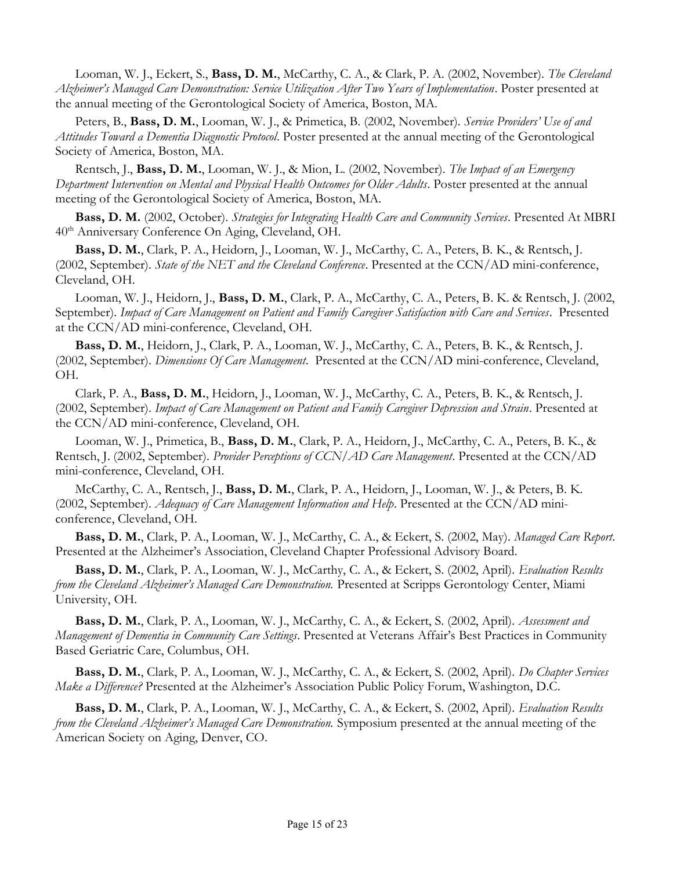Looman, W. J., Eckert, S., Bass, D. M., McCarthy, C. A., & Clark, P. A. (2002, November). The Cleveland Alzheimer's Managed Care Demonstration: Service Utilization After Two Years of Implementation. Poster presented at the annual meeting of the Gerontological Society of America, Boston, MA.

Peters, B., Bass, D. M., Looman, W. J., & Primetica, B. (2002, November). Service Providers' Use of and Attitudes Toward a Dementia Diagnostic Protocol. Poster presented at the annual meeting of the Gerontological Society of America, Boston, MA.

Rentsch, J., Bass, D. M., Looman, W. J., & Mion, L. (2002, November). The Impact of an Emergency Department Intervention on Mental and Physical Health Outcomes for Older Adults. Poster presented at the annual meeting of the Gerontological Society of America, Boston, MA.

Bass, D. M. (2002, October). Strategies for Integrating Health Care and Community Services. Presented At MBRI 40th Anniversary Conference On Aging, Cleveland, OH.

Bass, D. M., Clark, P. A., Heidorn, J., Looman, W. J., McCarthy, C. A., Peters, B. K., & Rentsch, J. (2002, September). State of the NET and the Cleveland Conference. Presented at the CCN/AD mini-conference, Cleveland, OH.

Looman, W. J., Heidorn, J., Bass, D. M., Clark, P. A., McCarthy, C. A., Peters, B. K. & Rentsch, J. (2002, September). Impact of Care Management on Patient and Family Caregiver Satisfaction with Care and Services. Presented at the CCN/AD mini-conference, Cleveland, OH.

Bass, D. M., Heidorn, J., Clark, P. A., Looman, W. J., McCarthy, C. A., Peters, B. K., & Rentsch, J. (2002, September). *Dimensions Of Care Management*. Presented at the CCN/AD mini-conference, Cleveland, OH.

Clark, P. A., Bass, D. M., Heidorn, J., Looman, W. J., McCarthy, C. A., Peters, B. K., & Rentsch, J. (2002, September). Impact of Care Management on Patient and Family Caregiver Depression and Strain. Presented at the CCN/AD mini-conference, Cleveland, OH.

Looman, W. J., Primetica, B., Bass, D. M., Clark, P. A., Heidorn, J., McCarthy, C. A., Peters, B. K., & Rentsch, J. (2002, September). Provider Perceptions of CCN/AD Care Management. Presented at the CCN/AD mini-conference, Cleveland, OH.

McCarthy, C. A., Rentsch, J., Bass, D. M., Clark, P. A., Heidorn, J., Looman, W. J., & Peters, B. K. (2002, September). Adequacy of Care Management Information and Help. Presented at the CCN/AD miniconference, Cleveland, OH.

Bass, D. M., Clark, P. A., Looman, W. J., McCarthy, C. A., & Eckert, S. (2002, May). Managed Care Report. Presented at the Alzheimer's Association, Cleveland Chapter Professional Advisory Board.

Bass, D. M., Clark, P. A., Looman, W. J., McCarthy, C. A., & Eckert, S. (2002, April). Evaluation Results from the Cleveland Alzheimer's Managed Care Demonstration. Presented at Scripps Gerontology Center, Miami University, OH.

Bass, D. M., Clark, P. A., Looman, W. J., McCarthy, C. A., & Eckert, S. (2002, April). Assessment and Management of Dementia in Community Care Settings. Presented at Veterans Affair's Best Practices in Community Based Geriatric Care, Columbus, OH.

Bass, D. M., Clark, P. A., Looman, W. J., McCarthy, C. A., & Eckert, S. (2002, April). Do Chapter Services Make a Difference? Presented at the Alzheimer's Association Public Policy Forum, Washington, D.C.

Bass, D. M., Clark, P. A., Looman, W. J., McCarthy, C. A., & Eckert, S. (2002, April). Evaluation Results from the Cleveland Alzheimer's Managed Care Demonstration. Symposium presented at the annual meeting of the American Society on Aging, Denver, CO.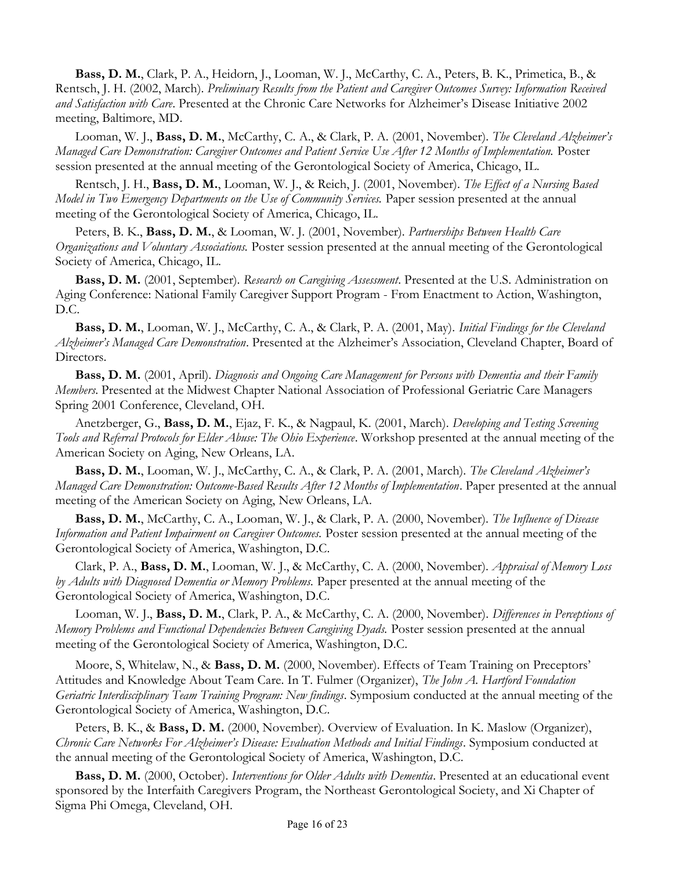Bass, D. M., Clark, P. A., Heidorn, J., Looman, W. J., McCarthy, C. A., Peters, B. K., Primetica, B., & Rentsch, J. H. (2002, March). Preliminary Results from the Patient and Caregiver Outcomes Survey: Information Received and Satisfaction with Care. Presented at the Chronic Care Networks for Alzheimer's Disease Initiative 2002 meeting, Baltimore, MD.

Looman, W. J., Bass, D. M., McCarthy, C. A., & Clark, P. A. (2001, November). The Cleveland Alzheimer's Managed Care Demonstration: Caregiver Outcomes and Patient Service Use After 12 Months of Implementation. Poster session presented at the annual meeting of the Gerontological Society of America, Chicago, IL.

Rentsch, J. H., Bass, D. M., Looman, W. J., & Reich, J. (2001, November). The Effect of a Nursing Based Model in Two Emergency Departments on the Use of Community Services. Paper session presented at the annual meeting of the Gerontological Society of America, Chicago, IL.

Peters, B. K., Bass, D. M., & Looman, W. J. (2001, November). Partnerships Between Health Care Organizations and Voluntary Associations. Poster session presented at the annual meeting of the Gerontological Society of America, Chicago, IL.

Bass, D. M. (2001, September). Research on Caregiving Assessment. Presented at the U.S. Administration on Aging Conference: National Family Caregiver Support Program - From Enactment to Action, Washington, D.C.

Bass, D. M., Looman, W. J., McCarthy, C. A., & Clark, P. A. (2001, May). Initial Findings for the Cleveland Alzheimer's Managed Care Demonstration. Presented at the Alzheimer's Association, Cleveland Chapter, Board of Directors.

Bass, D. M. (2001, April). Diagnosis and Ongoing Care Management for Persons with Dementia and their Family Members. Presented at the Midwest Chapter National Association of Professional Geriatric Care Managers Spring 2001 Conference, Cleveland, OH.

Anetzberger, G., Bass, D. M., Ejaz, F. K., & Nagpaul, K. (2001, March). Developing and Testing Screening Tools and Referral Protocols for Elder Abuse: The Ohio Experience. Workshop presented at the annual meeting of the American Society on Aging, New Orleans, LA.

Bass, D. M., Looman, W. J., McCarthy, C. A., & Clark, P. A. (2001, March). The Cleveland Alzheimer's Managed Care Demonstration: Outcome-Based Results After 12 Months of Implementation. Paper presented at the annual meeting of the American Society on Aging, New Orleans, LA.

Bass, D. M., McCarthy, C. A., Looman, W. J., & Clark, P. A. (2000, November). The Influence of Disease Information and Patient Impairment on Caregiver Outcomes. Poster session presented at the annual meeting of the Gerontological Society of America, Washington, D.C.

Clark, P. A., Bass, D. M., Looman, W. J., & McCarthy, C. A. (2000, November). Appraisal of Memory Loss by Adults with Diagnosed Dementia or Memory Problems. Paper presented at the annual meeting of the Gerontological Society of America, Washington, D.C.

Looman, W. J., Bass, D. M., Clark, P. A., & McCarthy, C. A. (2000, November). Differences in Perceptions of Memory Problems and Functional Dependencies Between Caregiving Dyads. Poster session presented at the annual meeting of the Gerontological Society of America, Washington, D.C.

Moore, S, Whitelaw, N., & Bass, D. M. (2000, November). Effects of Team Training on Preceptors' Attitudes and Knowledge About Team Care. In T. Fulmer (Organizer), The John A. Hartford Foundation Geriatric Interdisciplinary Team Training Program: New findings. Symposium conducted at the annual meeting of the Gerontological Society of America, Washington, D.C.

Peters, B. K., & Bass, D. M. (2000, November). Overview of Evaluation. In K. Maslow (Organizer), Chronic Care Networks For Alzheimer's Disease: Evaluation Methods and Initial Findings. Symposium conducted at the annual meeting of the Gerontological Society of America, Washington, D.C.

Bass, D. M. (2000, October). Interventions for Older Adults with Dementia. Presented at an educational event sponsored by the Interfaith Caregivers Program, the Northeast Gerontological Society, and Xi Chapter of Sigma Phi Omega, Cleveland, OH.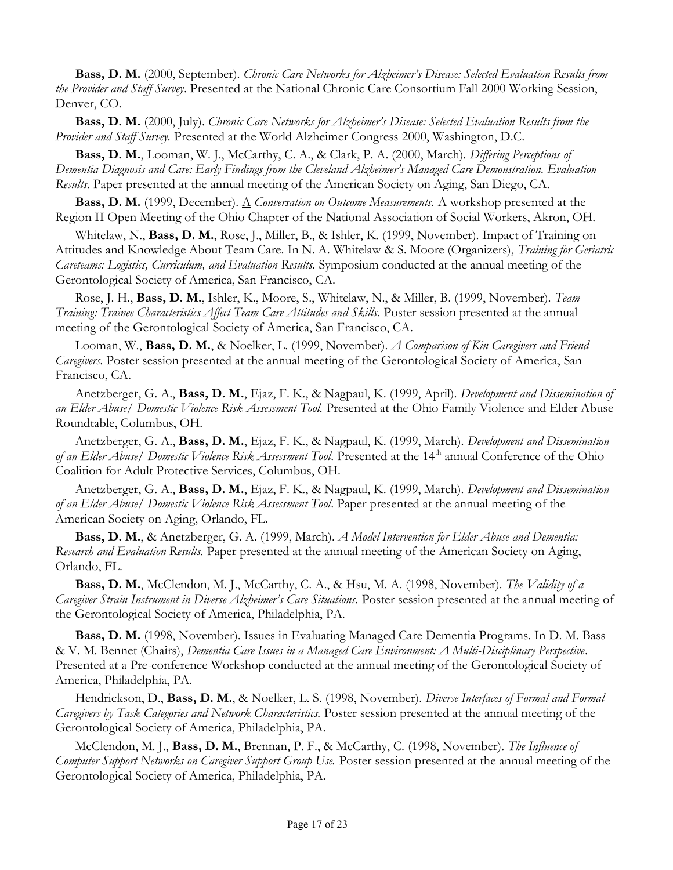Bass, D. M. (2000, September). Chronic Care Networks for Alzheimer's Disease: Selected Evaluation Results from the Provider and Staff Survey. Presented at the National Chronic Care Consortium Fall 2000 Working Session, Denver, CO.

Bass, D. M. (2000, July). Chronic Care Networks for Alzheimer's Disease: Selected Evaluation Results from the Provider and Staff Survey. Presented at the World Alzheimer Congress 2000, Washington, D.C.

Bass, D. M., Looman, W. J., McCarthy, C. A., & Clark, P. A. (2000, March). Differing Perceptions of Dementia Diagnosis and Care: Early Findings from the Cleveland Alzheimer's Managed Care Demonstration. Evaluation Results. Paper presented at the annual meeting of the American Society on Aging, San Diego, CA.

Bass, D. M. (1999, December). A Conversation on Outcome Measurements. A workshop presented at the Region II Open Meeting of the Ohio Chapter of the National Association of Social Workers, Akron, OH.

Whitelaw, N., Bass, D. M., Rose, J., Miller, B., & Ishler, K. (1999, November). Impact of Training on Attitudes and Knowledge About Team Care. In N. A. Whitelaw & S. Moore (Organizers), Training for Geriatric Careteams: Logistics, Curriculum, and Evaluation Results. Symposium conducted at the annual meeting of the Gerontological Society of America, San Francisco, CA.

Rose, J. H., Bass, D. M., Ishler, K., Moore, S., Whitelaw, N., & Miller, B. (1999, November). Team Training: Trainee Characteristics Affect Team Care Attitudes and Skills. Poster session presented at the annual meeting of the Gerontological Society of America, San Francisco, CA.

Looman, W., Bass, D. M., & Noelker, L. (1999, November). A Comparison of Kin Caregivers and Friend Caregivers. Poster session presented at the annual meeting of the Gerontological Society of America, San Francisco, CA.

Anetzberger, G. A., Bass, D. M., Ejaz, F. K., & Nagpaul, K. (1999, April). Development and Dissemination of an Elder Abuse/ Domestic Violence Risk Assessment Tool. Presented at the Ohio Family Violence and Elder Abuse Roundtable, Columbus, OH.

Anetzberger, G. A., Bass, D. M., Ejaz, F. K., & Nagpaul, K. (1999, March). Development and Dissemination of an Elder Abuse/ Domestic Violence Risk Assessment Tool. Presented at the 14<sup>th</sup> annual Conference of the Ohio Coalition for Adult Protective Services, Columbus, OH.

Anetzberger, G. A., Bass, D. M., Ejaz, F. K., & Nagpaul, K. (1999, March). Development and Dissemination of an Elder Abuse/ Domestic Violence Risk Assessment Tool. Paper presented at the annual meeting of the American Society on Aging, Orlando, FL.

Bass, D. M., & Anetzberger, G. A. (1999, March). A Model Intervention for Elder Abuse and Dementia: Research and Evaluation Results. Paper presented at the annual meeting of the American Society on Aging, Orlando, FL.

Bass, D. M., McClendon, M. J., McCarthy, C. A., & Hsu, M. A. (1998, November). The Validity of a Caregiver Strain Instrument in Diverse Alzheimer's Care Situations. Poster session presented at the annual meeting of the Gerontological Society of America, Philadelphia, PA.

Bass, D. M. (1998, November). Issues in Evaluating Managed Care Dementia Programs. In D. M. Bass & V. M. Bennet (Chairs), Dementia Care Issues in a Managed Care Environment: A Multi-Disciplinary Perspective. Presented at a Pre-conference Workshop conducted at the annual meeting of the Gerontological Society of America, Philadelphia, PA.

Hendrickson, D., Bass, D. M., & Noelker, L. S. (1998, November). Diverse Interfaces of Formal and Formal Caregivers by Task Categories and Network Characteristics. Poster session presented at the annual meeting of the Gerontological Society of America, Philadelphia, PA.

McClendon, M. J., Bass, D. M., Brennan, P. F., & McCarthy, C. (1998, November). The Influence of Computer Support Networks on Caregiver Support Group Use. Poster session presented at the annual meeting of the Gerontological Society of America, Philadelphia, PA.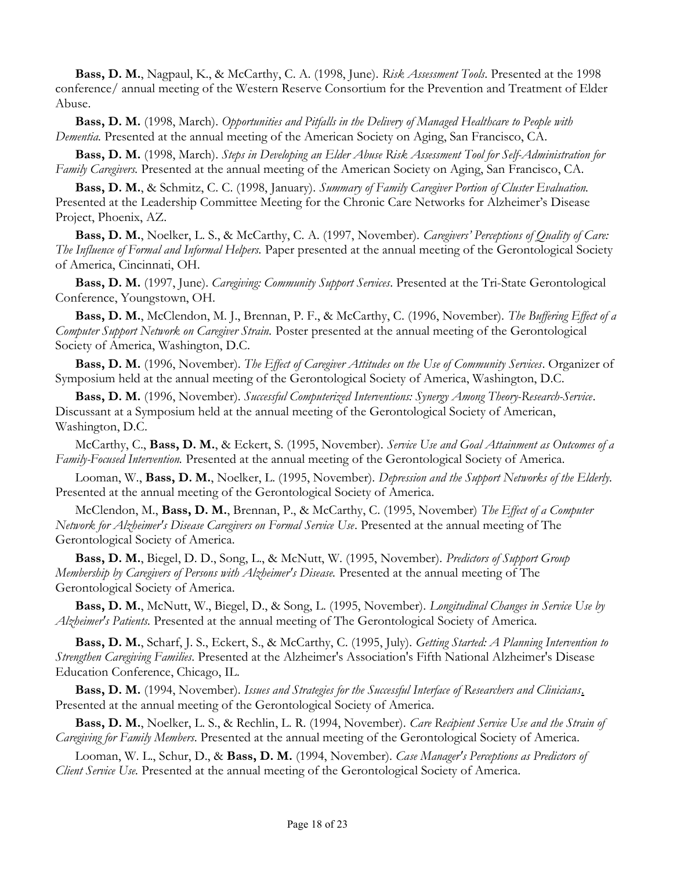Bass, D. M., Nagpaul, K., & McCarthy, C. A. (1998, June). Risk Assessment Tools. Presented at the 1998 conference/ annual meeting of the Western Reserve Consortium for the Prevention and Treatment of Elder Abuse.

Bass, D. M. (1998, March). Opportunities and Pitfalls in the Delivery of Managed Healthcare to People with Dementia. Presented at the annual meeting of the American Society on Aging, San Francisco, CA.

Bass, D. M. (1998, March). Steps in Developing an Elder Abuse Risk Assessment Tool for Self-Administration for Family Caregivers. Presented at the annual meeting of the American Society on Aging, San Francisco, CA.

Bass, D. M., & Schmitz, C. C. (1998, January). Summary of Family Caregiver Portion of Cluster Evaluation. Presented at the Leadership Committee Meeting for the Chronic Care Networks for Alzheimer's Disease Project, Phoenix, AZ.

Bass, D. M., Noelker, L. S., & McCarthy, C. A. (1997, November). Caregivers' Perceptions of Quality of Care: The Influence of Formal and Informal Helpers. Paper presented at the annual meeting of the Gerontological Society of America, Cincinnati, OH.

Bass, D. M. (1997, June). Caregiving: Community Support Services. Presented at the Tri-State Gerontological Conference, Youngstown, OH.

Bass, D. M., McClendon, M. J., Brennan, P. F., & McCarthy, C. (1996, November). The Buffering Effect of a Computer Support Network on Caregiver Strain. Poster presented at the annual meeting of the Gerontological Society of America, Washington, D.C.

Bass, D. M. (1996, November). The Effect of Caregiver Attitudes on the Use of Community Services. Organizer of Symposium held at the annual meeting of the Gerontological Society of America, Washington, D.C.

Bass, D. M. (1996, November). Successful Computerized Interventions: Synergy Among Theory-Research-Service. Discussant at a Symposium held at the annual meeting of the Gerontological Society of American, Washington, D.C.

McCarthy, C., Bass, D. M., & Eckert, S. (1995, November). Service Use and Goal Attainment as Outcomes of a Family-Focused Intervention. Presented at the annual meeting of the Gerontological Society of America.

Looman, W., Bass, D. M., Noelker, L. (1995, November). Depression and the Support Networks of the Elderly. Presented at the annual meeting of the Gerontological Society of America.

McClendon, M., Bass, D. M., Brennan, P., & McCarthy, C. (1995, November) The Effect of a Computer Network for Alzheimer's Disease Caregivers on Formal Service Use. Presented at the annual meeting of The Gerontological Society of America.

Bass, D. M., Biegel, D. D., Song, L., & McNutt, W. (1995, November). Predictors of Support Group Membership by Caregivers of Persons with Alzheimer's Disease. Presented at the annual meeting of The Gerontological Society of America.

Bass, D. M., McNutt, W., Biegel, D., & Song, L. (1995, November). *Longitudinal Changes in Service Use by* Alzheimer's Patients. Presented at the annual meeting of The Gerontological Society of America.

Bass, D. M., Scharf, J. S., Eckert, S., & McCarthy, C. (1995, July). Getting Started: A Planning Intervention to Strengthen Caregiving Families. Presented at the Alzheimer's Association's Fifth National Alzheimer's Disease Education Conference, Chicago, IL.

Bass, D. M. (1994, November). Issues and Strategies for the Successful Interface of Researchers and Clinicians. Presented at the annual meeting of the Gerontological Society of America.

Bass, D. M., Noelker, L. S., & Rechlin, L. R. (1994, November). Care Recipient Service Use and the Strain of Caregiving for Family Members. Presented at the annual meeting of the Gerontological Society of America.

Looman, W. L., Schur, D., & Bass, D. M. (1994, November). Case Manager's Perceptions as Predictors of Client Service Use. Presented at the annual meeting of the Gerontological Society of America.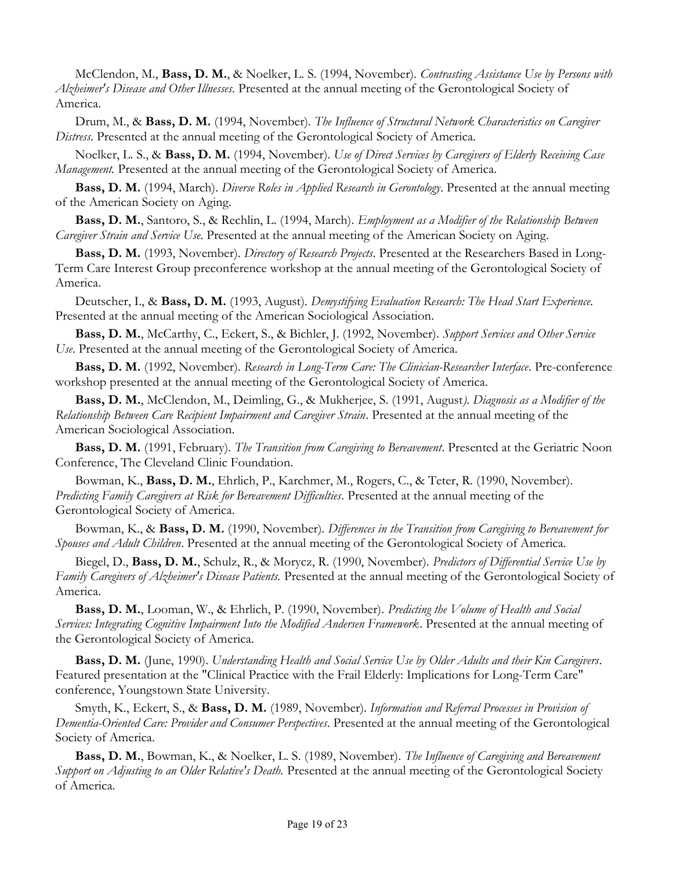McClendon, M., Bass, D. M., & Noelker, L. S. (1994, November). Contrasting Assistance Use by Persons with Alzheimer's Disease and Other Illnesses. Presented at the annual meeting of the Gerontological Society of America.

Drum, M., & Bass, D. M. (1994, November). The Influence of Structural Network Characteristics on Caregiver Distress. Presented at the annual meeting of the Gerontological Society of America.

Noelker, L. S., & Bass, D. M. (1994, November). Use of Direct Services by Caregivers of Elderly Receiving Case Management. Presented at the annual meeting of the Gerontological Society of America.

Bass, D. M. (1994, March). Diverse Roles in Applied Research in Gerontology. Presented at the annual meeting of the American Society on Aging.

Bass, D. M., Santoro, S., & Rechlin, L. (1994, March). *Employment as a Modifier of the Relationship Between* Caregiver Strain and Service Use. Presented at the annual meeting of the American Society on Aging.

Bass, D. M. (1993, November). Directory of Research Projects. Presented at the Researchers Based in Long-Term Care Interest Group preconference workshop at the annual meeting of the Gerontological Society of America.

Deutscher, I., & Bass, D. M. (1993, August). Demystifying Evaluation Research: The Head Start Experience. Presented at the annual meeting of the American Sociological Association.

Bass, D. M., McCarthy, C., Eckert, S., & Bichler, J. (1992, November). Support Services and Other Service Use. Presented at the annual meeting of the Gerontological Society of America.

Bass, D. M. (1992, November). Research in Long-Term Care: The Clinician-Researcher Interface. Pre-conference workshop presented at the annual meeting of the Gerontological Society of America.

Bass, D. M., McClendon, M., Deimling, G., & Mukherjee, S. (1991, August). Diagnosis as a Modifier of the Relationship Between Care Recipient Impairment and Caregiver Strain. Presented at the annual meeting of the American Sociological Association.

Bass, D. M. (1991, February). The Transition from Caregiving to Bereavement. Presented at the Geriatric Noon Conference, The Cleveland Clinic Foundation.

Bowman, K., Bass, D. M., Ehrlich, P., Karchmer, M., Rogers, C., & Teter, R. (1990, November). Predicting Family Caregivers at Risk for Bereavement Difficulties. Presented at the annual meeting of the Gerontological Society of America.

Bowman, K., & Bass, D. M. (1990, November). Differences in the Transition from Caregiving to Bereavement for Spouses and Adult Children. Presented at the annual meeting of the Gerontological Society of America.

Biegel, D., Bass, D. M., Schulz, R., & Morycz, R. (1990, November). Predictors of Differential Service Use by Family Caregivers of Alzheimer's Disease Patients. Presented at the annual meeting of the Gerontological Society of America.

Bass, D. M., Looman, W., & Ehrlich, P. (1990, November). Predicting the Volume of Health and Social Services: Integrating Cognitive Impairment Into the Modified Andersen Framework. Presented at the annual meeting of the Gerontological Society of America.

Bass, D. M. (June, 1990). Understanding Health and Social Service Use by Older Adults and their Kin Caregivers. Featured presentation at the "Clinical Practice with the Frail Elderly: Implications for Long-Term Care" conference, Youngstown State University.

Smyth, K., Eckert, S., & Bass, D. M. (1989, November). Information and Referral Processes in Provision of Dementia-Oriented Care: Provider and Consumer Perspectives. Presented at the annual meeting of the Gerontological Society of America.

Bass, D. M., Bowman, K., & Noelker, L. S. (1989, November). The Influence of Caregiving and Bereavement Support on Adjusting to an Older Relative's Death. Presented at the annual meeting of the Gerontological Society of America.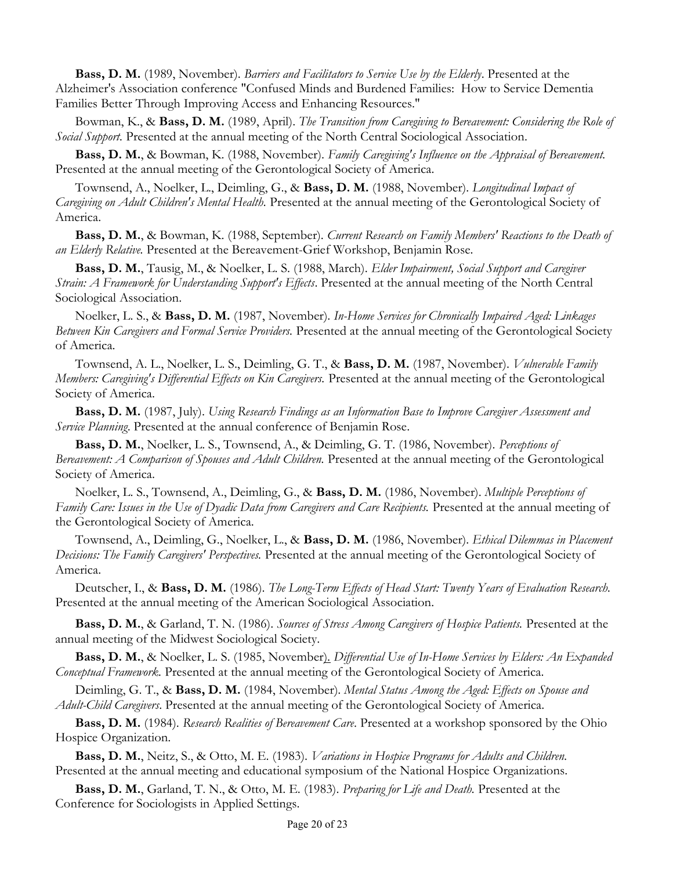**Bass, D. M.** (1989, November). Barriers and Facilitators to Service Use by the Elderly. Presented at the Alzheimer's Association conference "Confused Minds and Burdened Families: How to Service Dementia Families Better Through Improving Access and Enhancing Resources."

Bowman, K., & Bass, D. M. (1989, April). The Transition from Caregiving to Bereavement: Considering the Role of Social Support. Presented at the annual meeting of the North Central Sociological Association.

Bass, D. M., & Bowman, K. (1988, November). Family Caregiving's Influence on the Appraisal of Bereavement. Presented at the annual meeting of the Gerontological Society of America.

Townsend, A., Noelker, L., Deimling, G., & Bass, D. M. (1988, November). Longitudinal Impact of Caregiving on Adult Children's Mental Health. Presented at the annual meeting of the Gerontological Society of America.

Bass, D. M., & Bowman, K. (1988, September). Current Research on Family Members' Reactions to the Death of an Elderly Relative. Presented at the Bereavement-Grief Workshop, Benjamin Rose.

Bass, D. M., Tausig, M., & Noelker, L. S. (1988, March). Elder Impairment, Social Support and Caregiver Strain: A Framework for Understanding Support's Effects. Presented at the annual meeting of the North Central Sociological Association.

Noelker, L. S., & Bass, D. M. (1987, November). In-Home Services for Chronically Impaired Aged: Linkages Between Kin Caregivers and Formal Service Providers. Presented at the annual meeting of the Gerontological Society of America.

Townsend, A. L., Noelker, L. S., Deimling, G. T., & Bass, D. M. (1987, November). *Vulnerable Family* Members: Caregiving's Differential Effects on Kin Caregivers. Presented at the annual meeting of the Gerontological Society of America.

Bass, D. M. (1987, July). Using Research Findings as an Information Base to Improve Caregiver Assessment and Service Planning. Presented at the annual conference of Benjamin Rose.

Bass, D. M., Noelker, L. S., Townsend, A., & Deimling, G. T. (1986, November). Perceptions of Bereavement: A Comparison of Spouses and Adult Children. Presented at the annual meeting of the Gerontological Society of America.

Noelker, L. S., Townsend, A., Deimling, G., & Bass, D. M. (1986, November). Multiple Perceptions of Family Care: Issues in the Use of Dyadic Data from Caregivers and Care Recipients. Presented at the annual meeting of the Gerontological Society of America.

Townsend, A., Deimling, G., Noelker, L., & Bass, D. M. (1986, November). Ethical Dilemmas in Placement Decisions: The Family Caregivers' Perspectives. Presented at the annual meeting of the Gerontological Society of America.

Deutscher, I., & Bass, D. M. (1986). The Long-Term Effects of Head Start: Twenty Years of Evaluation Research. Presented at the annual meeting of the American Sociological Association.

Bass, D. M., & Garland, T. N. (1986). Sources of Stress Among Caregivers of Hospice Patients. Presented at the annual meeting of the Midwest Sociological Society.

Bass, D. M., & Noelker, L. S. (1985, November). Differential Use of In-Home Services by Elders: An Expanded Conceptual Framework. Presented at the annual meeting of the Gerontological Society of America.

Deimling, G. T., & Bass, D. M. (1984, November). Mental Status Among the Aged: Effects on Spouse and Adult-Child Caregivers. Presented at the annual meeting of the Gerontological Society of America.

Bass, D. M. (1984). Research Realities of Bereavement Care. Presented at a workshop sponsored by the Ohio Hospice Organization.

Bass, D. M., Neitz, S., & Otto, M. E. (1983). *Variations in Hospice Programs for Adults and Children.* Presented at the annual meeting and educational symposium of the National Hospice Organizations.

Bass, D. M., Garland, T. N., & Otto, M. E. (1983). Preparing for Life and Death. Presented at the Conference for Sociologists in Applied Settings.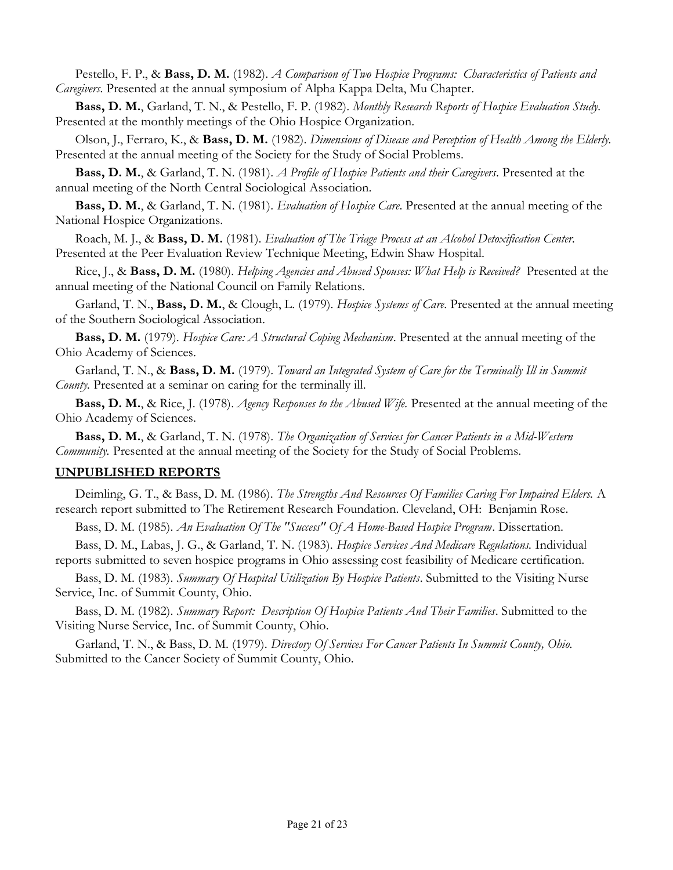Pestello, F. P., & Bass, D. M. (1982). A Comparison of Two Hospice Programs: Characteristics of Patients and Caregivers. Presented at the annual symposium of Alpha Kappa Delta, Mu Chapter.

Bass, D. M., Garland, T. N., & Pestello, F. P. (1982). Monthly Research Reports of Hospice Evaluation Study. Presented at the monthly meetings of the Ohio Hospice Organization.

Olson, J., Ferraro, K., & Bass, D. M. (1982). Dimensions of Disease and Perception of Health Among the Elderly. Presented at the annual meeting of the Society for the Study of Social Problems.

Bass, D. M., & Garland, T. N. (1981). *A Profile of Hospice Patients and their Caregivers*. Presented at the annual meeting of the North Central Sociological Association.

Bass, D. M., & Garland, T. N. (1981). *Evaluation of Hospice Care*. Presented at the annual meeting of the National Hospice Organizations.

Roach, M. J., & Bass, D. M. (1981). Evaluation of The Triage Process at an Alcohol Detoxification Center. Presented at the Peer Evaluation Review Technique Meeting, Edwin Shaw Hospital.

Rice, J., & Bass, D. M. (1980). Helping Agencies and Abused Spouses: What Help is Received? Presented at the annual meeting of the National Council on Family Relations.

Garland, T. N., Bass, D. M., & Clough, L. (1979). Hospice Systems of Care. Presented at the annual meeting of the Southern Sociological Association.

Bass, D. M. (1979). Hospice Care: A Structural Coping Mechanism. Presented at the annual meeting of the Ohio Academy of Sciences.

Garland, T. N., & Bass, D. M. (1979). Toward an Integrated System of Care for the Terminally Ill in Summit County. Presented at a seminar on caring for the terminally ill.

Bass, D. M., & Rice, J. (1978). Agency Responses to the Abused Wife. Presented at the annual meeting of the Ohio Academy of Sciences.

Bass, D. M., & Garland, T. N. (1978). The Organization of Services for Cancer Patients in a Mid-Western Community. Presented at the annual meeting of the Society for the Study of Social Problems.

#### UNPUBLISHED REPORTS

Deimling, G. T., & Bass, D. M. (1986). The Strengths And Resources Of Families Caring For Impaired Elders. A research report submitted to The Retirement Research Foundation. Cleveland, OH: Benjamin Rose.

Bass, D. M. (1985). An Evaluation Of The "Success" Of A Home-Based Hospice Program. Dissertation.

Bass, D. M., Labas, J. G., & Garland, T. N. (1983). Hospice Services And Medicare Regulations. Individual reports submitted to seven hospice programs in Ohio assessing cost feasibility of Medicare certification.

Bass, D. M. (1983). Summary Of Hospital Utilization By Hospice Patients. Submitted to the Visiting Nurse Service, Inc. of Summit County, Ohio.

Bass, D. M. (1982). Summary Report: Description Of Hospice Patients And Their Families. Submitted to the Visiting Nurse Service, Inc. of Summit County, Ohio.

Garland, T. N., & Bass, D. M. (1979). Directory Of Services For Cancer Patients In Summit County, Ohio. Submitted to the Cancer Society of Summit County, Ohio.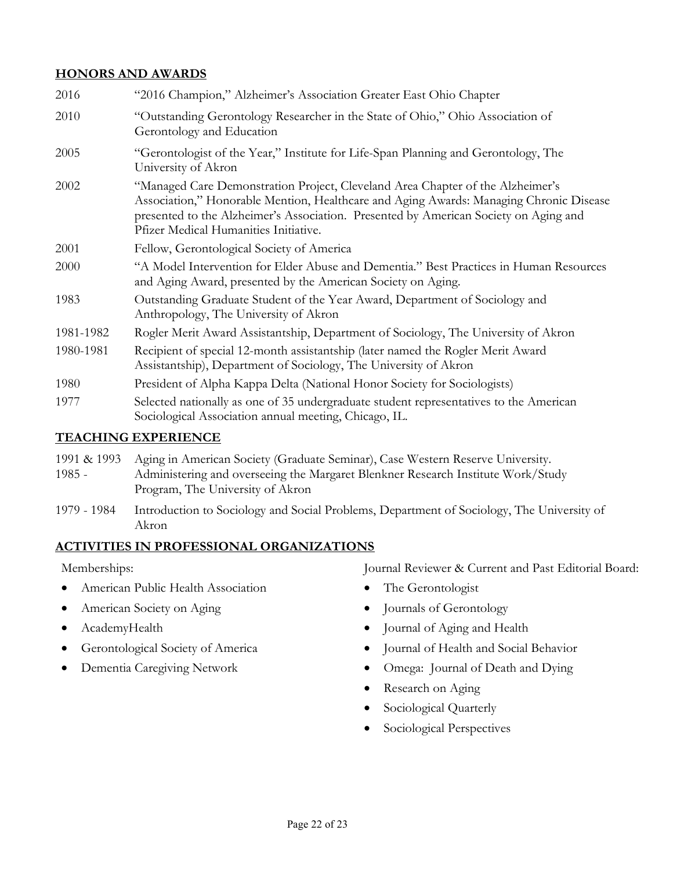#### HONORS AND AWARDS

| "2016 Champion," Alzheimer's Association Greater East Ohio Chapter                                                                                                                                                                                                                                        |
|-----------------------------------------------------------------------------------------------------------------------------------------------------------------------------------------------------------------------------------------------------------------------------------------------------------|
| "Outstanding Gerontology Researcher in the State of Ohio," Ohio Association of<br>Gerontology and Education                                                                                                                                                                                               |
| "Gerontologist of the Year," Institute for Life-Span Planning and Gerontology, The<br>University of Akron                                                                                                                                                                                                 |
| "Managed Care Demonstration Project, Cleveland Area Chapter of the Alzheimer's<br>Association," Honorable Mention, Healthcare and Aging Awards: Managing Chronic Disease<br>presented to the Alzheimer's Association. Presented by American Society on Aging and<br>Pfizer Medical Humanities Initiative. |
| Fellow, Gerontological Society of America                                                                                                                                                                                                                                                                 |
| "A Model Intervention for Elder Abuse and Dementia." Best Practices in Human Resources<br>and Aging Award, presented by the American Society on Aging.                                                                                                                                                    |
| Outstanding Graduate Student of the Year Award, Department of Sociology and<br>Anthropology, The University of Akron                                                                                                                                                                                      |
| Rogler Merit Award Assistantship, Department of Sociology, The University of Akron                                                                                                                                                                                                                        |
| Recipient of special 12-month assistantship (later named the Rogler Merit Award<br>Assistantship), Department of Sociology, The University of Akron                                                                                                                                                       |
| President of Alpha Kappa Delta (National Honor Society for Sociologists)                                                                                                                                                                                                                                  |
| Selected nationally as one of 35 undergraduate student representatives to the American<br>Sociological Association annual meeting, Chicago, IL.                                                                                                                                                           |
|                                                                                                                                                                                                                                                                                                           |

### TEACHING EXPERIENCE

| 1991 & 1993 | Aging in American Society (Graduate Seminar), Case Western Reserve University.   |
|-------------|----------------------------------------------------------------------------------|
| $1985 -$    | Administering and overseeing the Margaret Blenkner Research Institute Work/Study |
|             | Program, The University of Akron                                                 |

1979 - 1984 Introduction to Sociology and Social Problems, Department of Sociology, The University of Akron

## ACTIVITIES IN PROFESSIONAL ORGANIZATIONS

Memberships:

- American Public Health Association
- American Society on Aging
- AcademyHealth
- **•** Gerontological Society of America
- Dementia Caregiving Network

Journal Reviewer & Current and Past Editorial Board:

- The Gerontologist
- Journals of Gerontology
- Journal of Aging and Health
- Journal of Health and Social Behavior
- Omega: Journal of Death and Dying
- Research on Aging
- Sociological Quarterly
- Sociological Perspectives